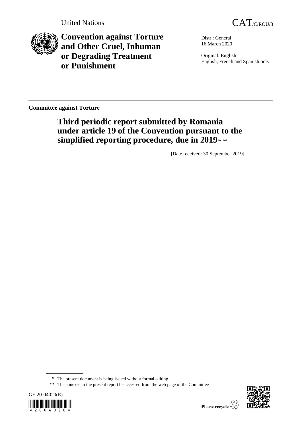

**Convention against Torture and Other Cruel, Inhuman or Degrading Treatment or Punishment**

Distr.: General 16 March 2020

Original: English English, French and Spanish only

**Committee against Torture**

# **Third periodic report submitted by Romania under article 19 of the Convention pursuant to the**  simplified reporting procedure, due in 2019\*<sub>\*\*\*</sub>

[Date received: 30 September 2019]

<sup>\*\*</sup> The annexes to the present report be accessed from the web page of the Committee





<sup>\*</sup> The present document is being issued without formal editing.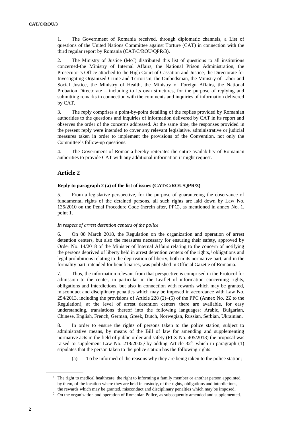1. The Government of Romania received, through diplomatic channels, a List of questions of the United Nations Committee against Torture (CAT) in connection with the third regular report by Romania (CAT/C/ROU/QPR/3).

2. The Ministry of Justice (MoJ) distributed this list of questions to all institutions concerned-the Ministry of Internal Affairs, the National Prison Administration, the Prosecutor's Office attached to the High Court of Cassation and Justice, the Directorate for Investigating Organized Crime and Terrorism, the Ombudsman, the Ministry of Labor and Social Justice, the Ministry of Health, the Ministry of Foreign Affairs, the National Probation Directorate – including to its own structures, for the purpose of replying and submitting remarks in connection with the comments and inquiries of information delivered by CAT.

3. The reply comprises a point-by-point detailing of the replies provided by Romanian authorities to the questions and inquiries of information delivered by CAT in its report and observes the order of the concerns addressed. At the same time, the responses provided in the present reply were intended to cover any relevant legislative, administrative or judicial measures taken in order to implement the provisions of the Convention, not only the Committee's follow-up questions.

4. The Government of Romania hereby reiterates the entire availability of Romanian authorities to provide CAT with any additional information it might request.

# **Article 2**

# **Reply to paragraph 2 (a) of the list of issues (CAT/C/ROU/QPR/3)**

5. From a legislative perspective, for the purpose of guaranteeing the observance of fundamental rights of the detained persons, all such rights are laid down by Law No. 135/2010 on the Penal Procedure Code (herein after, PPC), as mentioned in annex No. 1, point 1.

# *In respect of arrest detention centers of the police*

6. On 08 March 2018, the Regulation on the organization and operation of arrest detention centers, but also the measures necessary for ensuring their safety, approved by Order No. 14/2018 of the Minister of Internal Affairs relating to the concern of notifying the persons deprived of liberty held in arrest detention centers of the rights,<sup>1</sup> obligations and legal prohibitions relating to the deprivation of liberty, both in its normative part, and in the formality part, intended for beneficiaries, was published in Official Gazette of Romania.

7. Thus, the information relevant from that perspective is comprised in the Protocol for admission to the center, in particular in the Leaflet of information concerning rights, obligations and interdictions, but also in connection with rewards which may be granted, misconduct and disciplinary penalties which may be imposed in accordance with Law No. 254/2013, including the provisions of Article 228 (2)–(5) of the PPC (Annex No. 2Z to the Regulation), at the level of arrest detention centers there are available, for easy understanding, translations thereof into the following languages: Arabic, Bulgarian, Chinese, English, French, German, Greek, Dutch, Norwegian, Russian, Serbian, Ukrainian.

8. In order to ensure the rights of persons taken to the police station, subject to administrative means, by means of the Bill of law for amending and supplementing normative acts in the field of public order and safety (PLX No. 405/2018) the proposal was raised to supplement Law No.  $218/2002$ ,<sup>2</sup> by adding Article  $32^6$ , which in paragraph  $(1)$ stipulates that the person taken to the police station has the following rights:

(a) To be informed of the reasons why they are being taken to the police station;

<sup>&</sup>lt;sup>1</sup> The right to medical healthcare, the right to informing a family member or another person appointed by them, of the location where they are held in custody, of the rights, obligations and interdictions, the rewards which may be granted, misconduct and disciplinary penalties which may be imposed.

<sup>2</sup> On the organization and operation of Romanian Police, as subsequently amended and supplemented.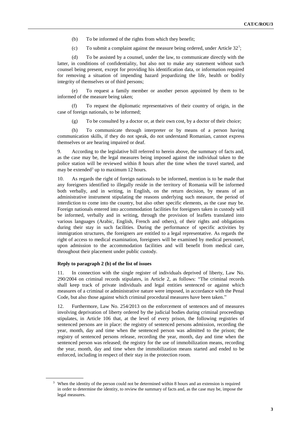- (b) To be informed of the rights from which they benefit;
- (c) To submit a complaint against the measure being ordered, under Article  $32^7$ ;

(d) To be assisted by a counsel, under the law, to communicate directly with the latter, in conditions of confidentiality, but also not to make any statement without such counsel being present, except for providing his identification data, or information required for removing a situation of impending hazard jeopardizing the life, health or bodily integrity of themselves or of third persons;

(e) To request a family member or another person appointed by them to be informed of the measure being taken;

(f) To request the diplomatic representatives of their country of origin, in the case of foreign nationals, to be informed;

(g) To be consulted by a doctor or, at their own cost, by a doctor of their choice;

(h) To communicate through interpreter or by means of a person having communication skills, if they do not speak, do not understand Romanian, cannot express themselves or are hearing impaired or deaf.

9. According to the legislative bill referred to herein above, the summary of facts and, as the case may be, the legal measures being imposed against the individual taken to the police station will be reviewed within 8 hours after the time when the travel started, and may be extended<sup>3</sup> up to maximum 12 hours.

10. As regards the right of foreign nationals to be informed, mention is to be made that any foreigners identified to illegally reside in the territory of Romania will be informed both verbally, and in writing, in English, on the return decision, by means of an administrative instrument stipulating the reasons underlying such measure, the period of interdiction to come into the country, but also other specific elements, as the case may be. Foreign nationals entered into accommodation facilities for foreigners taken in custody will be informed, verbally and in writing, through the provision of leaflets translated into various languages (Arabic, English, French and others), of their rights and obligations during their stay in such facilities. During the performance of specific activities by immigration structures, the foreigners are entitled to a legal representative. As regards the right of access to medical examination, foreigners will be examined by medical personnel, upon admission to the accommodation facilities and will benefit from medical care, throughout their placement under public custody.

#### **Reply to paragraph 2 (b) of the list of issues**

11. In connection with the single register of individuals deprived of liberty, Law No. 290/2004 on criminal records stipulates, in Article 2, as follows: "The criminal records shall keep track of private individuals and legal entities sentenced or against which measures of a criminal or administrative nature were imposed, in accordance with the Penal Code, but also those against which criminal procedural measures have been taken."

12. Furthermore, Law No. 254/2013 on the enforcement of sentences and of measures involving deprivation of liberty ordered by the judicial bodies during criminal proceedings stipulates, in Article 106 that, at the level of every prison, the following registries of sentenced persons are in place: the registry of sentenced persons admission, recording the year, month, day and time when the sentenced person was admitted to the prison; the registry of sentenced persons release, recording the year, month, day and time when the sentenced person was released; the registry for the use of immobilization means, recording the year, month, day and time when the immobilization means started and ended to be enforced, including in respect of their stay in the protection room.

 $3\;\;$  When the identity of the person could not be determined within 8 hours and an extension is required in order to determine the identity, to review the summary of facts and, as the case may be, impose the legal measures.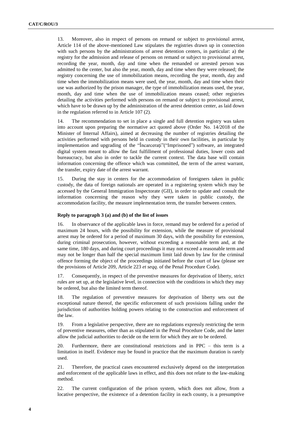13. Moreover, also in respect of persons on remand or subject to provisional arrest, Article 114 of the above-mentioned Law stipulates the registries drawn up in connection with such persons by the administrations of arrest detention centers, in particular: a) the registry for the admission and release of persons on remand or subject to provisional arrest, recording the year, month, day and time when the remanded or arrested person was admitted to the center, but also the year, month, day and time when they were released; the registry concerning the use of immobilization means, recording the year, month, day and time when the immobilization means were used, the year, month, day and time when their use was authorized by the prison manager, the type of immobilization means used, the year, month, day and time when the use of immobilization means ceased; other registries detailing the activities performed with persons on remand or subject to provisional arrest, which have to be drawn up by the administration of the arrest detention center, as laid down in the regulation referred to in Article 107 (2).

14. The recommendation to set in place a single and full detention registry was taken into account upon preparing the normative act quoted above (Order No. 14/2018 of the Minister of Internal Affairs), aimed at decreasing the number of registries detailing the activities performed with persons held in custody in their own facilities, in particular by implementation and upgrading of the "Încarceraţi"("Imprisoned") software, an integrated digital system meant to allow the fast fulfillment of professional duties, lower costs and bureaucracy, but also in order to tackle the current context. The data base will contain information concerning the offence which was committed, the term of the arrest warrant, the transfer, expiry date of the arrest warrant.

15. During the stay in centers for the accommodation of foreigners taken in public custody, the data of foreign nationals are operated in a registering system which may be accessed by the General Immigration Inspectorate (GII), in order to update and consult the information concerning the reason why they were taken in public custody, the accommodation facility, the measure implementation term, the transfer between centers.

# **Reply to paragraph 3 (a) and (b) of the list of issues**

16. In observance of the applicable laws in force, remand may be ordered for a period of maximum 24 hours, with the possibility for extension, while the measure of provisional arrest may be ordered for a period of maximum 30 days, with the possibility for extension, during criminal prosecution, however, without exceeding a reasonable term and, at the same time, 180 days, and during court proceedings it may not exceed a reasonable term and may not be longer than half the special maximum limit laid down by law for the criminal offence forming the object of the proceedings initiated before the court of law (please see the provisions of Article 209, Article 223 *et seqq*. of the Penal Procedure Code).

17. Consequently, in respect of the preventive measures for deprivation of liberty, strict rules are set up, at the legislative level, in connection with the conditions in which they may be ordered, but also the limited term thereof.

18. The regulation of preventive measures for deprivation of liberty sets out the exceptional nature thereof, the specific enforcement of such provisions falling under the jurisdiction of authorities holding powers relating to the construction and enforcement of the law.

19. From a legislative perspective, there are no regulations expressly restricting the term of preventive measures, other than as stipulated in the Penal Procedure Code, and the latter allow the judicial authorities to decide on the term for which they are to be ordered.

20. Furthermore, there are constitutional restrictions and in PPC – this term is a limitation in itself. Evidence may be found in practice that the maximum duration is rarely used.

21. Therefore, the practical cases encountered exclusively depend on the interpretation and enforcement of the applicable laws in effect, and this does not relate to the law-making method.

22. The current configuration of the prison system, which does not allow, from a locative perspective, the existence of a detention facility in each county, is a presumptive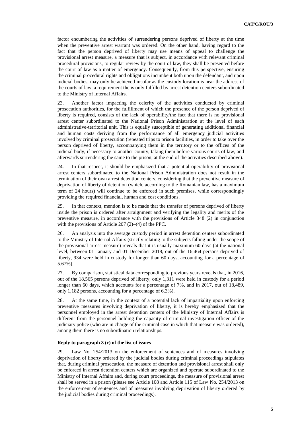factor encumbering the activities of surrendering persons deprived of liberty at the time when the preventive arrest warrant was ordered. On the other hand, having regard to the fact that the person deprived of liberty may use means of appeal to challenge the provisional arrest measure, a measure that is subject, in accordance with relevant criminal procedural provisions, to regular review by the court of law, they shall be presented before the court of law as a matter of emergency. Consequently, from this perspective, ensuring the criminal procedural rights and obligations incumbent both upon the defendant, and upon judicial bodies, may only be achieved insofar as the custody location is near the address of the courts of law, a requirement the is only fulfilled by arrest detention centers subordinated to the Ministry of Internal Affairs.

23. Another factor impacting the celerity of the activities conducted by criminal prosecution authorities, for the fulfillment of which the presence of the person deprived of liberty is required, consists of the lack of operability/the fact that there is no provisional arrest center subordinated to the National Prison Administration at the level of each administrative-territorial unit. This is equally susceptible of generating additional financial and human costs deriving from the performance of all emergency judicial activities involved by criminal prosecution (repeated trips to prison facilities, in order to take over the person deprived of liberty, accompanying them in the territory or to the offices of the judicial body, if necessary to another county, taking them before various courts of law, and afterwards surrendering the same to the prison, at the end of the activities described above).

24. In that respect, it should be emphasized that a potential operability of provisional arrest centers subordinated to the National Prison Administration does not result in the termination of their own arrest detention centers, considering that the preventive measure of deprivation of liberty of detention (which, according to the Romanian law, has a maximum term of 24 hours) will continue to be enforced in such premises, while correspondingly providing the required financial, human and cost conditions.

25. In that context, mention is to be made that the transfer of persons deprived of liberty inside the prison is ordered after arraignment and verifying the legality and merits of the preventive measure, in accordance with the provisions of Article 348 (2) in conjunction with the provisions of Article 207 (2)–(4) of the PPC.

26. An analysis into the average custody period in arrest detention centers subordinated to the Ministry of Internal Affairs (strictly relating to the subjects falling under the scope of the provisional arrest measure) reveals that it is usually maximum 60 days (at the national level, between 01 January and 01 December 2018, out of the 16,464 persons deprived of liberty, 934 were held in custody for longer than 60 days, accounting for a percentage of 5.67%).

27. By comparison, statistical data corresponding to previous years reveals that, in 2016, out of the 18,565 persons deprived of liberty, only 1,311 were held in custody for a period longer than 60 days, which accounts for a percentage of 7%, and in 2017, out of 18,489, only 1,182 persons, accounting for a percentage of 6.3%).

28. At the same time, in the context of a potential lack of impartiality upon enforcing preventive measures involving deprivation of liberty, it is hereby emphasized that the personnel employed in the arrest detention centers of the Ministry of Internal Affairs is different from the personnel holding the capacity of criminal investigation officer of the judiciary police (who are in charge of the criminal case in which that measure was ordered), among them there is no subordination relationships.

#### **Reply to paragraph 3 (c) of the list of issues**

29. Law No. 254/2013 on the enforcement of sentences and of measures involving deprivation of liberty ordered by the judicial bodies during criminal proceedings stipulates that, during criminal prosecution, the measure of detention and provisional arrest shall only be enforced in arrest detention centers which are organized and operate subordinated to the Ministry of Internal Affairs and, during court proceedings, the measure of provisional arrest shall be served in a prison (please see Article 108 and Article 115 of Law No. 254/2013 on the enforcement of sentences and of measures involving deprivation of liberty ordered by the judicial bodies during criminal proceedings).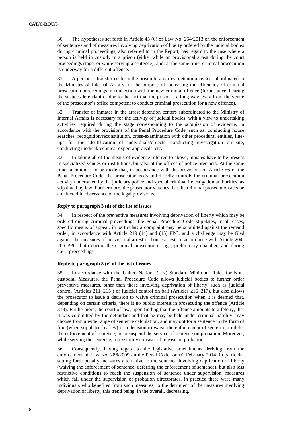30. The hypotheses set forth in Article 45 (6) of Law No. 254/2013 on the enforcement of sentences and of measures involving deprivation of liberty ordered by the judicial bodies during criminal proceedings, also referred to in the Report, has regard to the case where a person is held in custody in a prison (either while on provisional arrest during the court proceedings stage, or while serving a sentence), and, at the same time, criminal prosecution is underway for a different offence.

31. A person is transferred from the prison to an arrest detention center subordinated to the Ministry of Internal Affairs for the purpose of increasing the efficiency of criminal prosecution proceedings in connection with the new criminal offence (for instance, hearing the suspect/defendant or due to the fact that the prison is a long way away from the venue of the prosecutor's office competent to conduct criminal prosecution for a new offence).

32. Transfer of inmates in the arrest detention centers subordinated to the Ministry of Internal Affairs is necessary for the activity of judicial bodies, with a view to undertaking activities required during the stage corresponding to the submission of evidence, in accordance with the provisions of the Penal Procedure Code, such as: conducting house searches, recognition/reconstitution, cross-examination with other procedural entities, lineups for the identification of individuals/objects, conducting investigation on site, conducting medical/technical expert appraisals, etc.

33. In taking all of the means of evidence referred to above, inmates have to be present in specialized venues or institutions, but also at the offices of police precincts. At the same time, mention is to be made that, in accordance with the provisions of Article 56 of the Penal Procedure Code, the prosecutor leads and directly controls the criminal prosecution activity undertaken by the judiciary police and special criminal investigation authorities, as stipulated by law. Furthermore, the prosecutor watches that the criminal prosecution acts be conducted in observance of the legal provisions.

### **Reply to paragraph 3 (d) of the list of issues**

34. In respect of the preventive measures involving deprivation of liberty which may be ordered during criminal proceedings, the Penal Procedure Code stipulates, in all cases, specific means of appeal, in particular: a complaint may be submitted against the remand order, in accordance with Article 219 (14) and (15) PPC, and a challenge may be filed against the measures of provisional arrest or house arrest, in accordance with Article 204- 206 PPC, both during the criminal prosecution stage, preliminary chamber, and during court proceedings.

### **Reply to paragraph 3 (e) of the list of issues**

35. In accordance with the United Nations (UN) Standard Minimum Rules for Noncustodial Measures, the Penal Procedure Code allows judicial bodies to further order preventive measures, other than those involving deprivation of liberty, such as judicial control (Articles  $211-215^1$ ) or judicial control on bail (Articles  $216-217$ ), but also allows the prosecutor to issue a decision to waive criminal prosecution when it is deemed that, depending on certain criteria, there is no public interest in prosecuting the offence (Article 318). Furthermore, the court of law, upon finding that the offence amounts to a felony, that it was committed by the defendant and that he may be held under criminal liability, may choose from a wide range of sentence calculation, and may opt for a sentence in the form of fine (when stipulated by law) or a decision to waive the enforcement of sentence, to defer the enforcement of sentence, or to suspend the service of sentence on probation. Moreover, while serving the sentence, a possibility consists of release on probation.

36. Consequently, having regard to the legislative amendments deriving from the enforcement of Law No. 286/2009 on the Penal Code, on 01 February 2014, in particular setting forth penalty measures alternative to the sentence involving deprivation of liberty (waiving the enforcement of sentence, deferring the enforcement of sentence), but also less restrictive conditions to reach the suspension of sentence under supervision, measures which fall under the supervision of probation directorates, in practice there were many individuals who benefited from such measures, to the detriment of the measures involving deprivation of liberty, this trend being, in the overall, decreasing.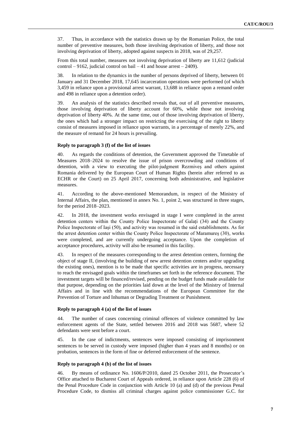37. Thus, in accordance with the statistics drawn up by the Romanian Police, the total number of preventive measures, both those involving deprivation of liberty, and those not involving deprivation of liberty, adopted against suspects in 2018, was of 29,257.

From this total number, measures not involving deprivation of liberty are 11,612 (judicial control – 9162, judicial control on bail – 41 and house arrest – 2409).

38. In relation to the dynamics in the number of persons deprived of liberty, between 01 January and 31 December 2018, 17,645 incarceration operations were performed (of which 3,459 in reliance upon a provisional arrest warrant, 13,688 in reliance upon a remand order and 498 in reliance upon a detention order).

39. An analysis of the statistics described reveals that, out of all preventive measures, those involving deprivation of liberty account for 60%, while those not involving deprivation of liberty 40%. At the same time, out of those involving deprivation of liberty, the ones which had a stronger impact on restricting the exercising of the right to liberty consist of measures imposed in reliance upon warrants, in a percentage of merely 22%, and the measure of remand for 24 hours is prevailing.

# **Reply to paragraph 3 (f) of the list of issues**

40. As regards the conditions of detention, the Government approved the Timetable of Measures 2018–2024 to resolve the issue of prison overcrowding and conditions of detention, with a view to executing the pilot-judgment Rezmiveș and others against Romania delivered by the European Court of Human Rights (herein after referred to as ECHR or the Court) on 25 April 2017, concerning both administrative, and legislative measures.

41. According to the above-mentioned Memorandum, in respect of the Ministry of Internal Affairs, the plan, mentioned in annex No. 1, point 2, was structured in three stages, for the period 2018–2023.

42. In 2018, the investment works envisaged in stage I were completed in the arrest detention centers within the County Police Inspectorate of Galați (34) and the County Police Inspectorate of Iași (50), and activity was resumed in the said establishments. As for the arrest detention center within the County Police Inspectorate of Maramureș (30), works were completed, and are currently undergoing acceptance. Upon the completion of acceptance procedures, activity will also be resumed in this facility.

43. In respect of the measures corresponding to the arrest detention centers, forming the object of stage II, (involving the building of new arrest detention centers and/or upgrading the existing ones), mention is to be made that specific activities are in progress, necessary to reach the envisaged goals within the timeframes set forth in the reference document. The investment targets will be financed/revised, pending on the budget funds made available for that purpose, depending on the priorities laid down at the level of the Ministry of Internal Affairs and in line with the recommendations of the European Committee for the Prevention of Torture and Inhuman or Degrading Treatment or Punishment.

### **Reply to paragraph 4 (a) of the list of issues**

44. The number of cases concerning criminal offences of violence committed by law enforcement agents of the State, settled between 2016 and 2018 was 5687, where 52 defendants were sent before a court.

45. In the case of indictments, sentences were imposed consisting of imprisonment sentences to be served in custody were imposed (higher than 4 years and 8 months) or on probation, sentences in the form of fine or deferred enforcement of the sentence.

### **Reply to paragraph 4 (b) of the list of issues**

46. By means of ordinance No. 1606/P/2010, dated 25 October 2011, the Prosecutor's Office attached to Bucharest Court of Appeals ordered, in reliance upon Article 228 (6) of the Penal Procedure Code in conjunction with Article 10 (a) and (d) of the previous Penal Procedure Code, to dismiss all criminal charges against police commissioner G.C. for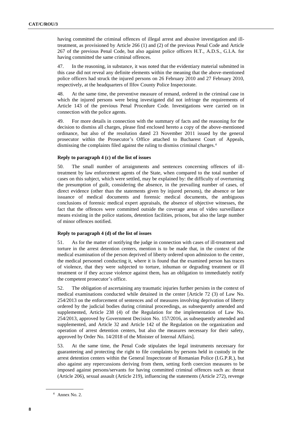having committed the criminal offences of illegal arrest and abusive investigation and illtreatment, as provisioned by Article 266 (1) and (2) of the previous Penal Code and Article 267 of the previous Penal Code, but also against police officers H.T., A.D.S., G.I.A. for having committed the same criminal offences.

47. In the reasoning, in substance, it was noted that the evidentiary material submitted in this case did not reveal any definite elements within the meaning that the above-mentioned police officers had struck the injured persons on 26 February 2010 and 27 February 2010, respectively, at the headquarters of Ilfov County Police Inspectorate.

48. At the same time, the preventive measure of remand, ordered in the criminal case in which the injured persons were being investigated did not infringe the requirements of Article 143 of the previous Penal Procedure Code. Investigations were carried on in connection with the police agents.

49. For more details in connection with the summary of facts and the reasoning for the decision to dismiss all charges, please find enclosed hereto a copy of the above-mentioned ordinance, but also of the resolution dated 23 November 2011 issued by the general prosecutor within the Prosecutor's Office attached to Bucharest Court of Appeals, dismissing the complaints filed against the ruling to dismiss criminal charges.<sup>4</sup>

# **Reply to paragraph 4 (c) of the list of issues**

50. The small number of arraignments and sentences concerning offences of illtreatment by law enforcement agents of the State, when compared to the total number of cases on this subject, which were settled, may be explained by: the difficulty of overturning the presumption of guilt, considering the absence, in the prevailing number of cases, of direct evidence (other than the statements given by injured persons), the absence or late issuance of medical documents and forensic medical documents, the ambiguous conclusions of forensic medical expert appraisals, the absence of objective witnesses, the fact that the offences were committed outside the coverage areas of video surveillance means existing in the police stations, detention facilities, prisons, but also the large number of minor offences notified.

# **Reply to paragraph 4 (d) of the list of issues**

51. As for the matter of notifying the judge in connection with cases of ill-treatment and torture in the arrest detention centers, mention is to be made that, in the context of the medical examination of the person deprived of liberty ordered upon admission to the center, the medical personnel conducting it, where it is found that the examined person has traces of violence, that they were subjected to torture, inhuman or degrading treatment or ill treatment or if they accuse violence against them, has an obligation to immediately notify the competent prosecutor's office.

52. The obligation of ascertaining any traumatic injuries further persists in the context of medical examinations conducted while detained in the center [Article 72 (3) of Law No. 254/2013 on the enforcement of sentences and of measures involving deprivation of liberty ordered by the judicial bodies during criminal proceedings, as subsequently amended and supplemented, Article 238 (4) of the Regulation for the implementation of Law No. 254/2013, approved by Government Decision No. 157/2016, as subsequently amended and supplemented, and Article 32 and Article 142 of the Regulation on the organization and operation of arrest detention centers, but also the measures necessary for their safety, approved by Order No. 14/2018 of the Minister of Internal Affairs].

53. At the same time, the Penal Code stipulates the legal instruments necessary for guaranteeing and protecting the right to file complaints by persons held in custody in the arrest detention centers within the General Inspectorate of Romanian Police (I.G.P.R.), but also against any repercussions deriving from them, setting forth coercion measures to be imposed against persons/servants for having committed criminal offences such as: threat (Article 206), sexual assault (Article 219), influencing the statements (Article 272), revenge

<sup>4</sup> Annex No. 2.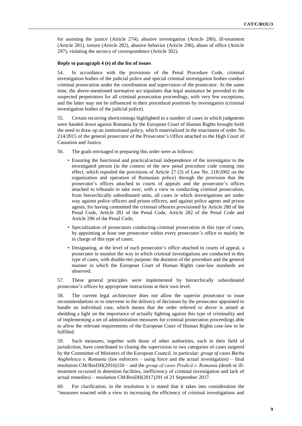for assisting the justice (Article 274), abusive investigation (Article 280), ill-treatment (Article 281), torture (Article 282), abusive behavior (Article 296), abuse of office (Article 297), violating the secrecy of correspondence (Article 302).

# **Reply to paragraph 4 (e) of the list of issues**

54. In accordance with the provisions of the Penal Procedure Code, criminal investigation bodies of the judicial police and special criminal investigation bodies conduct criminal prosecution under the coordination and supervision of the prosecutor. At the same time, the above-mentioned normative act stipulates that legal assistance be provided to the suspected perpetrators for all criminal prosecution proceedings, with very few exceptions, and the latter may not be influenced in their procedural positions by investigators (criminal investigation bodies of the judicial police).

55. Certain recurring shortcomings highlighted in a number of cases in which judgments were handed down against Romania by the European Court of Human Rights brought forth the need to draw up an institutional policy, which materialized in the enactment of order No. 214/2015 of the general prosecutor of the Prosecutor's Office attached to the High Court of Cassation and Justice.

- 56. The goals envisaged in preparing this order were as follows:
	- Ensuring the functional and practical/actual independence of the investigator to the investigated person (in the context of the new penal procedure code coming into effect, which repealed the provisions of Article 27 (3) of Law No. 218/2002 on the organization and operation of Romanian police) through the provision that the prosecutor's offices attached to courts of appeals and the prosecutor's offices attached to tribunals to take over, with a view to conducting criminal prosecution, from hierarchically subordinated units, all cases in which investigations are under way against police officers and prison officers, and against police agents and prison agents, for having committed the criminal offences provisioned by Article 280 of the Penal Code, Article 281 of the Penal Code, Article 282 of the Penal Code and Article 296 of the Penal Code;
	- Specialization of prosecutors conducting criminal prosecution in this type of cases, by appointing at least one prosecutor within every prosecutor's office to mainly be in charge of this type of cases;
	- Designating, at the level of each prosecutor's office attached to courts of appeal, a prosecutor to monitor the way in which criminal investigations are conducted in this type of cases, with double-tier purpose: the duration of the procedure and the general manner in which the European Court of Human Rights case-law standards are observed.

57. These general principles were implemented by hierarchically subordinated prosecutor's offices by appropriate instructions at their own level.

58. The current legal architecture does not allow the superior prosecutor to issue recommendations or to intervene in the delivery of decisions by the prosecutor appointed to handle an individual case, which means that the order referred to above is aimed at shedding a light on the importance of actually fighting against this type of criminality and of implementing a set of administration measures for criminal prosecution proceedings able to allow the relevant requirements of the European Court of Human Rights case-law to be fulfilled.

59. Such measures, together with those of other authorities, each in their field of jurisdiction, have contributed to closing the supervision in two categories of cases targeted by the Committee of Ministers of the European Council, in particular: *group of cases Barbu Anghelescu v. Romania* (law enforcers – using force and the actual investigation) – final resolution CM/ResDH(2016)150 – and the *group of cases Predică v. Romania* (death or illtreatment occurred in detention facilities, inefficiency of criminal investigation and lack of actual remedies) – resolution CM/ResDH(2017)291 of 21 September 2017.

60. For clarification, in the resolution it is stated that it takes into consideration the "measures enacted with a view to increasing the efficiency of criminal investigations and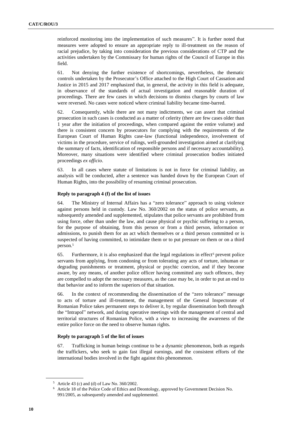reinforced monitoring into the implementation of such measures". It is further noted that measures were adopted to ensure an appropriate reply to ill-treatment on the reason of racial prejudice, by taking into consideration the previous considerations of CTP and the activities undertaken by the Commissary for human rights of the Council of Europe in this field.

61. Not denying the further existence of shortcomings, nevertheless, the thematic controls undertaken by the Prosecutor's Office attached to the High Court of Cassation and Justice in 2015 and 2017 emphasized that, in general, the activity in this field is adequate, in observance of the standards of actual investigation and reasonable duration of proceedings. There are few cases in which decisions to dismiss charges by courts of law were reversed. No cases were noticed where criminal liability became time-barred.

62. Consequently, while there are not many indictments, we can assert that criminal prosecution in such cases is conducted as a matter of celerity (there are few cases older than 1 year after the initiation of proceedings, when compared against the entire volume) and there is consistent concern by prosecutors for complying with the requirements of the European Court of Human Rights case-law (functional independence, involvement of victims in the procedure, service of rulings, well-grounded investigation aimed at clarifying the summary of facts, identification of responsible persons and if necessary accountability). Moreover, many situations were identified where criminal prosecution bodies initiated proceedings *ex officio*.

63. In all cases where statute of limitations is not in force for criminal liability, an analysis will be conducted, after a sentence was handed down by the European Court of Human Rights, into the possibility of resuming criminal prosecution.

# **Reply to paragraph 4 (f) of the list of issues**

64. The Ministry of Internal Affairs has a "zero tolerance" approach to using violence against persons held in custody. Law No. 360/2002 on the status of police servants, as subsequently amended and supplemented, stipulates that police servants are prohibited from using force, other than under the law, and cause physical or psychic suffering to a person, for the purpose of obtaining, from this person or from a third person, information or admissions, to punish them for an act which themselves or a third person committed or is suspected of having committed, to intimidate them or to put pressure on them or on a third person.<sup>5</sup>

65. Furthermore, it is also emphasized that the legal regulations in effect<sup>6</sup> prevent police servants from applying, from condoning or from tolerating any acts of torture, inhuman or degrading punishments or treatment, physical or psychic coercion, and if they become aware, by any means, of another police officer having committed any such offences, they are compelled to adopt the necessary measures, as the case may be, in order to put an end to that behavior and to inform the superiors of that situation.

66. In the context of recommending the dissemination of the "zero tolerance" message to acts of torture and ill-treatment, the management of the General Inspectorate of Romanian Police takes permanent steps to deliver it, by regular dissemination both through the "Intrapol" network, and during operative meetings with the management of central and territorial structures of Romanian Police, with a view to increasing the awareness of the entire police force on the need to observe human rights.

# **Reply to paragraph 5 of the list of issues**

67. Trafficking in human beings continue to be a dynamic phenomenon, both as regards the traffickers, who seek to gain fast illegal earnings, and the consistent efforts of the international bodies involved in the fight against this phenomenon.

<sup>5</sup> Article 43 (c) and (d) of Law No. 360/2002.

<sup>6</sup> Article 18 of the Police Code of Ethics and Deontology, approved by Government Decision No. 991/2005, as subsequently amended and supplemented.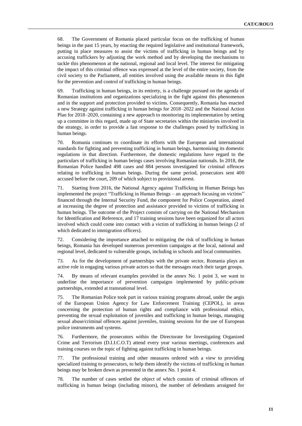68. The Government of Romania placed particular focus on the trafficking of human beings in the past 15 years, by enacting the required legislative and institutional framework, putting in place measures to assist the victims of trafficking in human beings and by accusing traffickers by adjusting the work method and by developing the mechanisms to tackle this phenomenon at the national, regional and local level. The interest for mitigating the impact of this criminal offence was expressed at the level of the entire society, from the civil society to the Parliament, all entities involved using the available means in this fight for the prevention and control of trafficking in human beings.

69. Trafficking in human beings, in its entirety, is a challenge pursued on the agenda of Romanian institutions and organizations specializing in the fight against this phenomenon and in the support and protection provided to victims. Consequently, Romania has enacted a new Strategy against trafficking in human beings for 2018–2022 and the National Action Plan for 2018–2020, containing a new approach to monitoring its implementation by setting up a committee in this regard, made up of State secretaries within the ministries involved in the strategy, in order to provide a fast response to the challenges posed by trafficking in human beings.

70. Romania continues to coordinate its efforts with the European and international standards for fighting and preventing trafficking in human beings, harmonizing its domestic regulations in that direction. Furthermore, the domestic regulations have regard to the particulars of trafficking in human beings cases involving Romanian nationals. In 2018, the Romanian Police handled 498 cases and 884 persons investigated for criminal offences relating to trafficking in human beings. During the same period, prosecutors sent 400 accused before the court, 209 of which subject to provisional arrest.

71. Starting from 2016, the National Agency against Trafficking in Human Beings has implemented the project "Trafficking in Human Beings – an approach focusing on victims" financed through the Internal Security Fund, the component for Police Cooperation, aimed at increasing the degree of protection and assistance provided to victims of trafficking in human beings. The outcome of the Project consists of carrying on the National Mechanism for Identification and Reference, and 17 training sessions have been organized for all actors involved which could come into contact with a victim of trafficking in human beings (2 of which dedicated to immigration officers).

72. Considering the importance attached to mitigating the risk of trafficking in human beings, Romania has developed numerous prevention campaigns at the local, national and regional level, dedicated to vulnerable groups, including in schools and local communities.

73. As for the development of partnerships with the private sector, Romania plays an active role in engaging various private actors so that the messages reach their target groups.

74. By means of relevant examples provided in the annex No. 1 point 3, we want to underline the importance of prevention campaigns implemented by public-private partnerships, extended at transnational level.

75. The Romanian Police took part in various training programs abroad, under the aegis of the European Union Agency for Law Enforcement Training (CEPOL), in areas concerning the protection of human rights and compliance with professional ethics, preventing the sexual exploitation of juveniles and trafficking in human beings, managing sexual abuse/criminal offences against juveniles, training sessions for the use of European police instruments and systems.

76. Furthermore, the prosecutors within the Directorate for Investigating Organized Crime and Terrorism (D.I.I.C.O.T) attend every year various meetings, conferences and training courses on the topic of fighting against trafficking in human beings.

77. The professional training and other measures ordered with a view to providing specialized training to prosecutors, to help them identify the victims of trafficking in human beings may be broken down as presented in the annex No. 1 point 4.

78. The number of cases settled the object of which consists of criminal offences of trafficking in human beings (including minors), the number of defendants arraigned for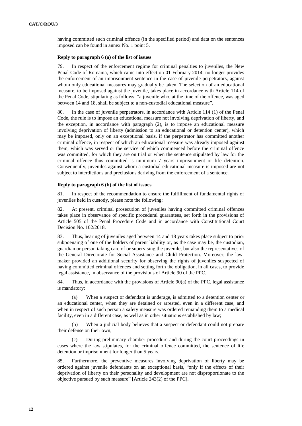having committed such criminal offence (in the specified period) and data on the sentences imposed can be found in annex No. 1 point 5.

#### **Reply to paragraph 6 (a) of the list of issues**

79. In respect of the enforcement regime for criminal penalties to juveniles, the New Penal Code of Romania, which came into effect on 01 February 2014, no longer provides the enforcement of an imprisonment sentence in the case of juvenile perpetrators, against whom only educational measures may gradually be taken. The selection of an educational measure, to be imposed against the juvenile, takes place in accordance with Article 114 of the Penal Code, stipulating as follows: "a juvenile who, at the time of the offence, was aged between 14 and 18, shall be subject to a non-custodial educational measure".

80. In the case of juvenile perpetrators, in accordance with Article 114 (1) of the Penal Code, the rule is to impose an educational measure not involving deprivation of liberty, and the exception, in accordance with paragraph (2), is to impose an educational measure involving deprivation of liberty (admission to an educational or detention center), which may be imposed, only on an exceptional basis, if the perpetrator has committed another criminal offence, in respect of which an educational measure was already imposed against them, which was served or the service of which commenced before the criminal offence was committed, for which they are on trial or when the sentence stipulated by law for the criminal offence thus committed is minimum 7 years imprisonment or life detention. Consequently, juveniles against whom a custodial educational measure is imposed are not subject to interdictions and preclusions deriving from the enforcement of a sentence.

### **Reply to paragraph 6 (b) of the list of issues**

81. In respect of the recommendation to ensure the fulfillment of fundamental rights of juveniles held in custody, please note the following:

82. At present, criminal prosecution of juveniles having committed criminal offences takes place in observance of specific procedural guarantees, set forth in the provisions of Article 505 of the Penal Procedure Code and in accordance with Constitutional Court Decision No. 102/2018.

83. Thus, hearing of juveniles aged between 14 and 18 years takes place subject to prior subpoenaing of one of the holders of parent liability or, as the case may be, the custodian, guardian or person taking care of or supervising the juvenile, but also the representatives of the General Directorate for Social Assistance and Child Protection. Moreover, the lawmaker provided an additional security for observing the rights of juveniles suspected of having committed criminal offences and setting forth the obligation, in all cases, to provide legal assistance, in observance of the provisions of Article 90 of the PPC.

84. Thus, in accordance with the provisions of Article 90(a) of the PPC, legal assistance is mandatory:

(a) When a suspect or defendant is underage, is admitted to a detention center or an educational center, when they are detained or arrested, even in a different case, and when in respect of such person a safety measure was ordered remanding them to a medical facility, even in a different case, as well as in other situations established by law;

(b) When a judicial body believes that a suspect or defendant could not prepare their defense on their own;

(c) During preliminary chamber procedure and during the court proceedings in cases where the law stipulates, for the criminal offence committed, the sentence of life detention or imprisonment for longer than 5 years.

85. Furthermore, the preventive measures involving deprivation of liberty may be ordered against juvenile defendants on an exceptional basis, "only if the effects of their deprivation of liberty on their personality and development are not disproportionate to the objective pursued by such measure" [Article 243(2) of the PPC].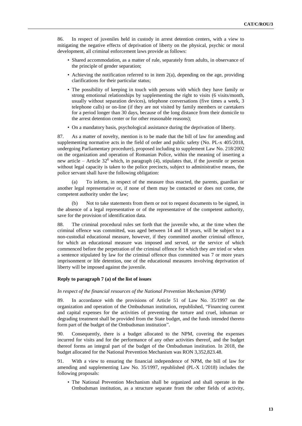86. In respect of juveniles held in custody in arrest detention centers, with a view to mitigating the negative effects of deprivation of liberty on the physical, psychic or moral development, all criminal enforcement laws provide as follows:

- Shared accommodation, as a matter of rule, separately from adults, in observance of the principle of gender separation;
- Achieving the notification referred to in item 2(a), depending on the age, providing clarifications for their particular status;
- The possibility of keeping in touch with persons with which they have family or strong emotional relationships by supplementing the right to visits (6 visits/month, usually without separation devices), telephone conversations (five times a week, 3 telephone calls) or on-line (if they are not visited by family members or caretakers for a period longer than 30 days, because of the long distance from their domicile to the arrest detention center or for other reasonable reasons);
- On a mandatory basis, psychological assistance during the deprivation of liberty.

87. As a matter of novelty, mention is to be made that the bill of law for amending and supplementing normative acts in the field of order and public safety (No. PL-x 405/2018, undergoing Parliamentary procedure), proposed including to supplement Law No. 218/2002 on the organization and operation of Romanian Police, within the meaning of inserting a new article – Article  $32<sup>6</sup>$  which, in paragraph (4), stipulates that, if the juvenile or person without legal capacity is taken to the police precincts, subject to administrative means, the police servant shall have the following obligation:

(a) To inform, in respect of the measure thus enacted, the parents, guardian or another legal representative or, if none of them may be contacted or does not come, the competent authority under the law;

(b) Not to take statements from them or not to request documents to be signed, in the absence of a legal representative or of the representative of the competent authority, save for the provision of identification data.

88. The criminal procedural rules set forth that the juvenile who, at the time when the criminal offence was committed, was aged between 14 and 18 years, will be subject to a non-custodial educational measure, however, if they committed another criminal offence, for which an educational measure was imposed and served, or the service of which commenced before the perpetration of the criminal offence for which they are tried or when a sentence stipulated by law for the criminal offence thus committed was 7 or more years imprisonment or life detention, one of the educational measures involving deprivation of liberty will be imposed against the juvenile.

### **Reply to paragraph 7 (a) of the list of issues**

### *In respect of the financial resources of the National Prevention Mechanism (NPM)*

89. In accordance with the provisions of Article 51 of Law No. 35/1997 on the organization and operation of the Ombudsman institution, republished, "Financing current and capital expenses for the activities of preventing the torture and cruel, inhuman or degrading treatment shall be provided from the State budget, and the funds intended thereto form part of the budget of the Ombudsman institution".

90. Consequently, there is a budget allocated to the NPM, covering the expenses incurred for visits and for the performance of any other activities thereof, and the budget thereof forms an integral part of the budget of the Ombudsman institution. In 2018, the budget allocated for the National Prevention Mechanism was RON 3,352,823.48.

91. With a view to ensuring the financial independence of NPM, the bill of law for amending and supplementing Law No. 35/1997, republished (PL-X 1/2018) includes the following proposals:

• The National Prevention Mechanism shall be organized and shall operate in the Ombudsman institution, as a structure separate from the other fields of activity,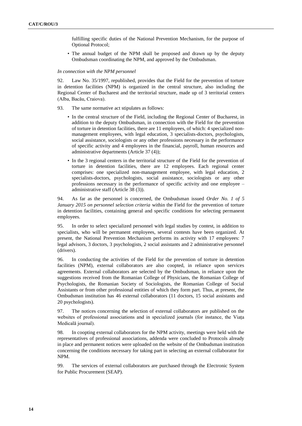fulfilling specific duties of the National Prevention Mechanism, for the purpose of Optional Protocol;

• The annual budget of the NPM shall be proposed and drawn up by the deputy Ombudsman coordinating the NPM, and approved by the Ombudsman.

### *In connection with the NPM personnel*

92. Law No. 35/1997, republished, provides that the Field for the prevention of torture in detention facilities (NPM) is organized in the central structure, also including the Regional Center of Bucharest and the territorial structure, made up of 3 territorial centers (Alba, Bacău, Craiova).

- 93. The same normative act stipulates as follows:
	- In the central structure of the Field, including the Regional Center of Bucharest, in addition to the deputy Ombudsman, in connection with the Field for the prevention of torture in detention facilities, there are 11 employees, of which: 4 specialized nonmanagement employees, with legal education, 3 specialists-doctors, psychologists, social assistance, sociologists or any other professions necessary in the performance of specific activity and 4 employees in the financial, payroll, human resources and administrative departments (Article 37 (4));
	- In the 3 regional centers in the territorial structure of the Field for the prevention of torture in detention facilities, there are 12 employees. Each regional center comprises: one specialized non-management employee, with legal education, 2 specialists-doctors, psychologists, social assistance, sociologists or any other professions necessary in the performance of specific activity and one employee – administrative staff (Article 38 (3)).

94. As far as the personnel is concerned, the Ombudsman issued *Order No. 1 of 5 January 2015 on personnel selection criteria* within the Field for the prevention of torture in detention facilities, containing general and specific conditions for selecting permanent employees.

95. In order to select specialized personnel with legal studies by contest, in addition to specialists, who will be permanent employees, several contests have been organized. At present, the National Prevention Mechanism performs its activity with 17 employees: 7 legal advisors, 3 doctors, 3 psychologists, 2 social assistants and 2 administrative personnel (drivers).

96. In conducting the activities of the Field for the prevention of torture in detention facilities (NPM), external collaborators are also coopted, in reliance upon services agreements. External collaborators are selected by the Ombudsman, in reliance upon the suggestions received from the Romanian College of Physicians, the Romanian College of Psychologists, the Romanian Society of Sociologists, the Romanian College of Social Assistants or from other professional entities of which they form part. Thus, at present, the Ombudsman institution has 46 external collaborators (11 doctors, 15 social assistants and 20 psychologists).

97. The notices concerning the selection of external collaborators are published on the websites of professional associations and in specialized journals (for instance, the Viața Medicală journal).

98. In coopting external collaborators for the NPM activity, meetings were held with the representatives of professional associations, addenda were concluded to Protocols already in place and permanent notices were uploaded on the website of the Ombudsman institution concerning the conditions necessary for taking part in selecting an external collaborator for NPM.

99. The services of external collaborators are purchased through the Electronic System for Public Procurement (SEAP).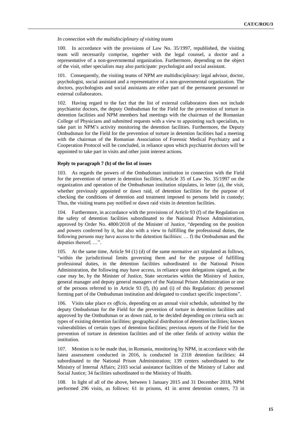*In connection with the multidisciplinary of visiting teams* 

100. In accordance with the provisions of Law No. 35/1997, republished, the visiting team will necessarily comprise, together with the legal counsel, a doctor and a representative of a non-governmental organization. Furthermore, depending on the object of the visit, other specialists may also participate: psychologist and social assistant.

101. Consequently, the visiting teams of NPM are multidisciplinary: legal advisor, doctor, psychologist, social assistant and a representative of a non-governmental organization. The doctors, psychologists and social assistants are either part of the permanent personnel or external collaborators.

102. Having regard to the fact that the list of external collaborators does not include psychiatrist doctors, the deputy Ombudsman for the Field for the prevention of torture in detention facilities and NPM members had meetings with the chairman of the Romanian College of Physicians and submitted requests with a view to appointing such specialists, to take part in NPM's activity monitoring the detention facilities. Furthermore, the Deputy Ombudsman for the Field for the prevention of torture in detention facilities had a meeting with the chairman of the Romanian Association of Forensic Medical Psychiatry and a Cooperation Protocol will be concluded, in reliance upon which psychiatrist doctors will be appointed to take part in visits and other joint interest actions.

# **Reply to paragraph 7 (b) of the list of issues**

103. As regards the powers of the Ombudsman institution in connection with the Field for the prevention of torture in detention facilities, Article 35 of Law No. 35/1997 on the organization and operation of the Ombudsman institution stipulates, in letter (a), the visit, whether previously appointed or dawn raid, of detention facilities for the purpose of checking the conditions of detention and treatment imposed to persons held in custody; Thus, the visiting teams pay notified or dawn raid visits in detention facilities.

104. Furthermore, in accordance with the provisions of Article 93 (f) of the Regulation on the safety of detention facilities subordinated to the National Prison Administration, approved by Order No. 4800/2018 of the Minister of Justice, "depending on the position and powers conferred by it, but also with a view to fulfilling the professional duties, the following persons may have access to the detention facilities:  $\dots$  f) the Ombudsman and the deputies thereof; …".

105. At the same time, Article 94 (1) (d) of the same normative act stipulated as follows, "within the jurisdictional limits governing them and for the purpose of fulfilling professional duties, in the detention facilities subordinated to the National Prison Administration, the following may have access, in reliance upon delegations signed, as the case may be, by the Minister of Justice, State secretaries within the Ministry of Justice, general manager and deputy general managers of the National Prison Administration or one of the persons referred to in Article 93 (f), (h) and (i) of this Regulation: d) personnel forming part of the Ombudsman institution and delegated to conduct specific inspections".

106. Visits take place *ex officio*, depending on an annual visit schedule, submitted by the deputy Ombudsman for the Field for the prevention of torture in detention facilities and approved by the Ombudsman or as down raid, to be decided depending on criteria such as: types of existing detention facilities; geographical distribution of detention facilities; known vulnerabilities of certain types of detention facilities; previous reports of the Field for the prevention of torture in detention facilities and of the other fields of activity within the institution.

107. Mention is to be made that, in Romania, monitoring by NPM, in accordance with the latest assessment conducted in 2016, is conducted in 2318 detention facilities: 44 subordinated to the National Prison Administration; 139 centers subordinated to the Ministry of Internal Affairs; 2103 social assistance facilities of the Ministry of Labor and Social Justice; 34 facilities subordinated to the Ministry of Health.

108. In light of all of the above, between 1 January 2015 and 31 December 2018, NPM performed 296 visits, as follows: 61 in prisons, 41 in arrest detention centers, 73 in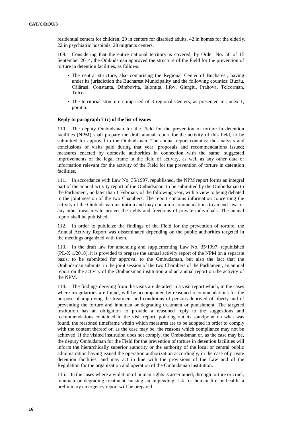residential centers for children, 29 in centers for disabled adults, 42 in homes for the elderly, 22 in psychiatric hospitals, 28 migrants centers.

109. Considering that the entire national territory is covered, by Order No. 56 of 15 September 2014, the Ombudsman approved the structure of the Field for the prevention of torture in detention facilities, as follows:

- The central structure, also comprising the Regional Center of Bucharest, having under its jurisdiction the Bucharest Municipality and the following counties: Buzău, Călărași, Constanța, Dâmbovița, Ialomița, Ilfov, Giurgiu, Prahova, Teleorman, Tulcea.
- The territorial structure comprised of 3 regional Centers, as presented in annex 1, point 6.

# **Reply to paragraph 7 (c) of the list of issues**

110. The deputy Ombudsman for the Field for the prevention of torture in detention facilities (NPM) shall prepare the draft annual report for the activity of this field, to be submitted for approval to the Ombudsman. The annual report contains: the analysis and conclusions of visits paid during that year; proposals and recommendations issued; measures enacted by domestic authorities in connection with the same; suggested improvements of the legal frame in the field of activity, as well as any other data or information relevant for the activity of the Field for the prevention of torture in detention facilities.

111. In accordance with Law No. 35/1997, republished, the NPM report forms an integral part of the annual activity report of the Ombudsman, to be submitted by the Ombudsman to the Parliament, no later than 1 February of the following year, with a view to being debated in the joint session of the two Chambers. The report contains information concerning the activity of the Ombudsman institution and may contain recommendations to amend laws or any other measures to protect the rights and freedoms of private individuals. The annual report shall be published.

112. In order to publicize the findings of the Field for the prevention of torture, the Annual Activity Report was disseminated depending on the public authorities targeted in the meetings organized with them.

113. In the draft law for amending and supplementing Law No. 35/1997, republished (PL-X 1/2018), it is provided to prepare the annual activity report of the NPM on a separate basis, to be submitted for approval to the Ombudsman, but also the fact that the Ombudsman submits, in the joint session of the two Chambers of the Parliament, an annual report on the activity of the Ombudsman institution and an annual report on the activity of the NPM.

114. The findings deriving from the visits are detailed in a visit report which, in the cases where irregularities are found, will be accompanied by reasoned recommendations for the purpose of improving the treatment and conditions of persons deprived of liberty and of preventing the torture and inhuman or degrading treatment or punishment. The targeted institution has an obligation to provide a reasoned reply to the suggestions and recommendations contained in the visit report, pointing out its standpoint on what was found, the reasoned timeframe within which measures are to be adopted in order to comply with the content thereof or, as the case may be, the reasons which compliance may not be achieved. If the visited institution does not comply, the Ombudsman or, as the case may be, the deputy Ombudsman for the Field for the prevention of torture in detention facilities will inform the hierarchically superior authority or the authority of the local or central public administration having issued the operation authorization accordingly, in the case of private detention facilities, and may act in line with the provisions of the Law and of the Regulation for the organization and operation of the Ombudsman institution.

115. In the cases where a violation of human rights is ascertained, through torture or cruel, inhuman or degrading treatment causing an impending risk for human life or health, a preliminary emergency report will be prepared.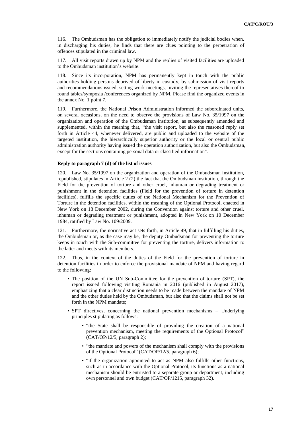116. The Ombudsman has the obligation to immediately notify the judicial bodies when, in discharging his duties, he finds that there are clues pointing to the perpetration of offences stipulated in the criminal law.

117. All visit reports drawn up by NPM and the replies of visited facilities are uploaded to the Ombudsman institution's website.

118. Since its incorporation, NPM has permanently kept in touch with the public authorities holding persons deprived of liberty in custody, by submission of visit reports and recommendations issued, setting work meetings, inviting the representatives thereof to round tables/symposia /conferences organized by NPM. Please find the organized events in the annex No. 1 point 7.

119. Furthermore, the National Prison Administration informed the subordinated units, on several occasions, on the need to observe the provisions of Law No. 35/1997 on the organization and operation of the Ombudsman institution, as subsequently amended and supplemented, within the meaning that, "the visit report, but also the reasoned reply set forth in Article 44, whenever delivered, are public and uploaded to the website of the targeted institution, the hierarchically superior authority or the local or central public administration authority having issued the operation authorization, but also the Ombudsman, except for the sections containing personal data or classified information".

# **Reply to paragraph 7 (d) of the list of issues**

120. Law No. 35/1997 on the organization and operation of the Ombudsman institution, republished, stipulates in Article 2 (2) the fact that the Ombudsman institution, through the Field for the prevention of torture and other cruel, inhuman or degrading treatment or punishment in the detention facilities (Field for the prevention of torture in detention facilities), fulfills the specific duties of the National Mechanism for the Prevention of Torture in the detention facilities, within the meaning of the Optional Protocol, enacted in New York on 18 December 2002, during the Convention against torture and other cruel, inhuman or degrading treatment or punishment, adopted in New York on 10 December 1984, ratified by Law No. 109/2009.

121. Furthermore, the normative act sets forth, in Article 49, that in fulfilling his duties, the Ombudsman or, as the case may be, the deputy Ombudsman for preventing the torture keeps in touch with the Sub-committee for preventing the torture, delivers information to the latter and meets with its members.

122. Thus, in the context of the duties of the Field for the prevention of torture in detention facilities in order to enforce the provisional mandate of NPM and having regard to the following:

- The position of the UN Sub-Committee for the prevention of torture (SPT), the report issued following visiting Romania in 2016 (published in August 2017), emphasizing that a clear distinction needs to be made between the mandate of NPM and the other duties held by the Ombudsman, but also that the claims shall not be set forth in the NPM mandate;
- SPT directives, concerning the national prevention mechanisms Underlying principles stipulating as follows:
	- "the State shall be responsible of providing the creation of a national prevention mechanism, meeting the requirements of the Optional Protocol" (CAT/OP/12/5, paragraph 2);
	- "the mandate and powers of the mechanism shall comply with the provisions of the Optional Protocol" (CAT/OP/12/5, paragraph 6);
	- "if the organization appointed to act as NPM also fulfills other functions, such as in accordance with the Optional Protocol, its functions as a national mechanism should be entrusted to a separate group or department, including own personnel and own budget (CAT/OP/1215, paragraph 32).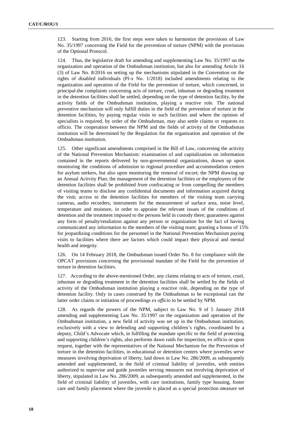123. Starting from 2016, the first steps were taken to harmonize the provisions of Law No. 35/1997 concerning the Field for the prevention of torture (NPM) with the provisions of the Optional Protocol.

124. Thus, the legislative draft for amending and supplementing Law No. 35/1997 on the organization and operation of the Ombudsman institution, but also for amending Article 16 (3) of Law No. 8/2016 on setting up the mechanisms stipulated in the Convention on the rights of disabled individuals (Pl-x No. 1/2018) included amendments relating to the organization and operation of the Field for the prevention of torture, which concerned, in principal-the complaints concerning acts of torture, cruel, inhuman or degrading treatment in the detention facilities shall be settled, depending on the type of detention facility, by the activity fields of the Ombudsman institution, playing a reactive role. The national preventive mechanism will only fulfill duties in the field of the prevention of torture in the detention facilities, by paying regular visits to such facilities and where the opinion of specialists is required, by order of the Ombudsman, may also settle claims or requests ex officio. The cooperation between the NPM and the fields of activity of the Ombudsman institution will be determined by the Regulation for the organization and operation of the Ombudsman institution.

125. Other significant amendments comprised in the Bill of Law, concerning the activity of the National Prevention Mechanism: examination of and capitalization on information contained in the reports delivered by non-governmental organizations, drawn up upon monitoring the conditions of admission to regional procedure and accommodation centers for asylum seekers, but also upon monitoring the removal of escort; the NPM drawing up an Annual Activity Plan; the management of the detention facilities or the employees of the detention facilities shall be prohibited from confiscating or from compelling the members of visiting teams to disclose any confidential documents and information acquired during the visit; access to the detention facilities for members of the visiting team carrying cameras, audio recorders, instruments for the measurement of surface area, noise level, temperature and moisture, in order to appraise the relevant issues of the conditions of detention and the treatment imposed to the persons held in custody there; guarantees against any form of penalty/retaliation against any person or organization for the fact of having communicated any information to the members of the visiting team; granting a bonus of 15% for jeopardizing conditions for the personnel in the National Prevention Mechanism paying visits to facilities where there are factors which could impact their physical and mental health and integrity.

126. On 14 February 2018, the Ombudsman issued Order No. 8 for compliance with the OPCAT provisions concerning the provisional mandate of the Field for the prevention of torture in detention facilities.

127. According to the above-mentioned Order, any claims relating to acts of torture, cruel, inhuman or degrading treatment in the detention facilities shall be settled by the fields of activity of the Ombudsman institution playing a reactive role, depending on the type of detention facility. Only in cases construed by the Ombudsman to be exceptional can the latter order claims or initiation of proceedings *ex officio* to be settled by NPM.

128. As regards the powers of the NPM, subject to Law No. 9 of 5 January 2018 amending and supplementing Law No. 35/1997 on the organization and operation of the Ombudsman institution, a new field of activity was set up in the Ombudsman institution, exclusively with a view to defending and supporting children's rights, coordinated by a deputy, Child's Advocate which, in fulfilling the mandate specific to the field of protecting and supporting children's rights, also performs dawn raids for inspection, ex officio or upon request, together with the representatives of the National Mechanism for the Prevention of torture in the detention facilities, in educational or detention centers where juveniles serve measures involving deprivation of liberty, laid down in Law No. 286/2009, as subsequently amended and supplemented, in the field of criminal liability of juveniles, with entities authorized to supervise and guide juveniles serving measures not involving deprivation of liberty, stipulated in Law No. 286/2009, as subsequently amended and supplemented, in the field of criminal liability of juveniles, with care institutions, family type housing, foster care and family placement where the juvenile is placed as a special protection measure set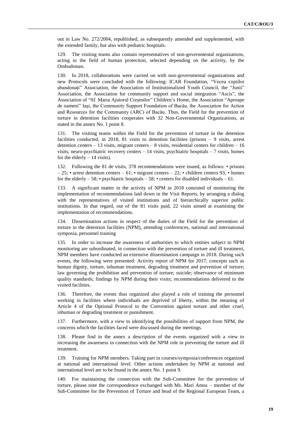out in Law No. 272/2004, republished, as subsequently amended and supplemented, with the extended family, but also with pediatric hospitals.

129. The visiting teams also contain representatives of non-governmental organizations, acting in the field of human protection, selected depending on the activity, by the Ombudsman.

130. In 2018, collaborations were carried on with non-governmental organizations and new Protocols were concluded with the following: ICAR Foundation, "Vocea copiilor abandonați" Association, the Association of Institutionalized Youth Council, the "Junii" Association, the Association for community support and social integration "Ascis", the Association of "Sf. Maria Ajutorul Creștnilor" Children's Home, the Association "Aproape de oameni" Iași, the Community Support Foundation of Bacău, the Association for Action and Resources for the Community (ARC) of Bacău. Thus, the Field for the prevention of torture in detention facilities cooperates with 32 Non-Governmental Organizations, as stated in the annex No. 1 point 8.

131. The visiting teams within the Field for the prevention of torture in the detention facilities conducted, in 2018, 81 visits to detention facilities (prisons – 9 visits, arrest detention centers  $-13$  visits, migrant centers  $-8$  visits, residential centers for children  $-16$ visits, neuro-psychiatric recovery centers  $-14$  visits, psychiatric hospitals  $-7$  visits, homes for the elderly  $-14$  visits).

132. Following the 81 de visits, 378 recommendations were issued, as follows: • prisons  $-25$ ; • arrest detention centers  $-61$ ; • migrant centers  $-22$ ; • children centers 93; • homes for the elderly – 58; • psychiatric hospitals – 58; • centers for disabled individuals – 61.

133. A significant matter in the activity of NPM in 2018 consisted of monitoring the implementation of recommendations laid down in the Visit Reports, by arranging a dialog with the representatives of visited institutions and of hierarchically superior public institutions. In that regard, out of the 81 visits paid, 22 visits aimed at examining the implementation of recommendations.

134. Dissemination actions in respect of the duties of the Field for the prevention of torture in the detention facilities (NPM), attending conferences, national and international symposia, personnel training

135. In order to increase the awareness of authorities to which entities subject to NPM monitoring are subordinated, in connection with the prevention of torture and ill treatment, NPM members have conducted an extensive dissemination campaign in 2018. During such events, the following were presented: Activity report of NPM for 2017; concepts such as human dignity, torture, inhuman treatment, degrading treatment and prevention of torture; law governing the prohibition and prevention of torture; suicide; observance of minimum quality standards; findings by NPM during their visits; recommendations delivered to the visited facilities.

136. Therefore, the events thus organized also played a role of training the personnel working in facilities where individuals are deprived of liberty, within the meaning of Article 4 of the Optional Protocol to the Convention against torture and other cruel, inhuman or degrading treatment or punishment.

137. Furthermore, with a view to identifying the possibilities of support from NPM, the concerns which the facilities faced were discussed during the meetings.

138. Please find in the annex a description of the events organized with a view to increasing the awareness in connection with the NPM role in preventing the torture and ill treatment.

139. Training for NPM members. Taking part in courses/symposia/conferences organized at national and international level. Other actions undertaken by NPM at national and international level are to be found in the annex No. 1 point 9.

140. For maintaining the connection with the Sub-Committee for the prevention of torture, please note the correspondence exchanged with Ms. Mari Amos – member of the Sub-Committee for the Prevention of Torture and head of the Regional European Team, a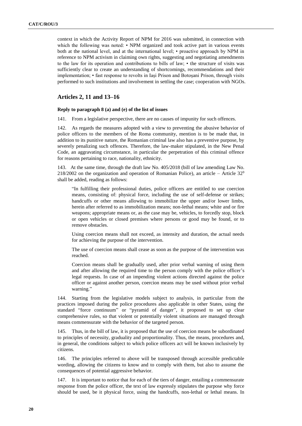context in which the Activity Report of NPM for 2016 was submitted, in connection with which the following was noted: • NPM organized and took active part in various events both at the national level, and at the international level; • proactive approach by NPM in reference to NPM activism in claiming own rights, suggesting and negotiating amendments to the law for its operation and contributions to bills of law; • the structure of visits was sufficiently clear to create an understanding of shortcomings, recommendations and their implementation; • fast response to revolts in Iași Prison and Botoșani Prison, through visits performed to such institutions and involvement in settling the case; cooperation with NGOs.

# **Articles 2, 11 and 13–16**

# **Reply to paragraph 8 (a) and (e) of the list of issues**

141. From a legislative perspective, there are no causes of impunity for such offences.

142. As regards the measures adopted with a view to preventing the abusive behavior of police officers to the members of the Roma community, mention is to be made that, in addition to its punitive nature, the Romanian criminal law also has a preventive purpose, by severely penalizing such offences. Therefore, the law-maker stipulated, in the New Penal Code, an aggravating circumstance, in particular the perpetration of this criminal offence for reasons pertaining to race, nationality, ethnicity.

143. At the same time, through the draft law No. 405/2018 (bill of law amending Law No.  $218/2002$  on the organization and operation of Romanian Police), an article – Article 32<sup>9</sup> shall be added, reading as follows:

"In fulfilling their professional duties, police officers are entitled to use coercion means, consisting of: physical force, including the use of self-defense or strikes; handcuffs or other means allowing to immobilize the upper and/or lower limbs, herein after referred to as immobilization means; non-lethal means; white and or fire weapons; appropriate means or, as the case may be, vehicles, to forcedly stop, block or open vehicles or closed premises where persons or good may be found, or to remove obstacles.

Using coercion means shall not exceed, as intensity and duration, the actual needs for achieving the purpose of the intervention.

The use of coercion means shall cease as soon as the purpose of the intervention was reached.

Coercion means shall be gradually used, after prior verbal warning of using them and after allowing the required time to the person comply with the police officer's legal requests. In case of an impending violent actions directed against the police officer or against another person, coercion means may be used without prior verbal warning."

144. Starting from the legislative models subject to analysis, in particular from the practices imposed during the police procedures also applicable in other States, using the standard "force continuum" or "pyramid of danger", it proposed to set up clear comprehensive rules, so that violent or potentially violent situations are managed through means commensurate with the behavior of the targeted person.

145. Thus, in the bill of law, it is proposed that the use of coercion means be subordinated to principles of necessity, graduality and proportionality. Thus, the means, procedures and, in general, the conditions subject to which police officers act will be known inclusively by citizens.

146. The principles referred to above will be transposed through accessible predictable wording, allowing the citizens to know and to comply with them, but also to assume the consequences of potential aggressive behavior.

147. It is important to notice that for each of the tiers of danger, entailing a commensurate response from the police officer, the text of law expressly stipulates the purpose why force should be used, be it physical force, using the handcuffs, non-lethal or lethal means. In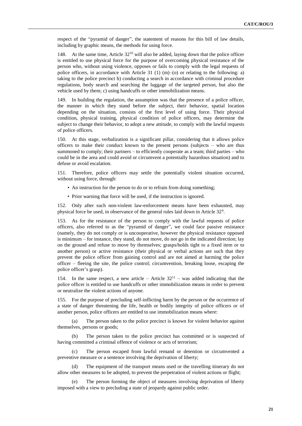respect of the "pyramid of danger", the statement of reasons for this bill of law details, including by graphic means, the methods for using force.

148. At the same time, Article 32<sup>10</sup> will also be added, laying down that the police officer is entitled to use physical force for the purpose of overcoming physical resistance of the person who, without using violence, opposes or fails to comply with the legal requests of police officers, in accordance with Article 31 (1)  $(m)$ –(o) or relating to the following: a) taking to the police precinct b) conducting a search in accordance with criminal procedure regulations, body search and searching the luggage of the targeted person, but also the vehicle used by them; c) using handcuffs or other immobilization means.

149. In building the regulation, the assumption was that the presence of a police officer, the manner in which they stand before the subject, their behavior, spatial location depending on the situation, consists of the first level of using force. Their physical condition, physical training, physical condition of police officers, may determine the subject to change their behavior, to adopt a new attitude, to comply with the lawful requests of police officers.

150. At this stage, verbalization is a significant pillar, considering that it allows police officers to make their conduct known to the present persons (subjects – who are thus summoned to comply; their partners – to efficiently cooperate as a team; third parties – who could be in the area and could avoid or circumvent a potentially hazardous situation) and to defuse or avoid escalation.

151. Therefore, police officers may settle the potentially violent situation occurred, without using force, through:

- An instruction for the person to do or to refrain from doing something;
- Prior warning that force will be used, if the instruction is ignored.

152. Only after such non-violent law-enforcement means have been exhausted, may physical force be used, in observance of the general rules laid down in Article 32<sup>9</sup>.

153. As for the resistance of the person to comply with the lawful requests of police officers, also referred to as the "pyramid of danger", we could face passive resistance (namely, they do not comply or is uncooperative, however the physical resistance opposed is minimum – for instance, they stand, do not move, do not go in the indicated direction; lay on the ground and refuse to move by themselves; grasps/holds tight to a fixed item or to another person) or active resistance (their physical or verbal actions are such that they prevent the police officer from gaining control and are not aimed at harming the police officer – fleeing the site, the police control; circumvention, breaking loose, escaping the police officer's grasp).

154. In the same respect, a new article – Article  $32<sup>11</sup>$  – was added indicating that the police officer is entitled to use handcuffs or other immobilization means in order to prevent or neutralize the violent actions of anyone.

155. For the purpose of precluding self-inflicting harm by the person or the occurrence of a state of danger threatening the life, health or bodily integrity of police officers or of another person, police officers are entitled to use immobilization means where:

(a) The person taken to the police precinct is known for violent behavior against themselves, persons or goods;

(b) The person taken to the police precinct has committed or is suspected of having committed a criminal offence of violence or acts of terrorism;

(c) The person escaped from lawful remand or detention or circumvented a preventive measure or a sentence involving the deprivation of liberty;

(d) The equipment of the transport means used or the travelling itinerary do not allow other measures to be adopted, to prevent the perpetration of violent actions or flight;

The person forming the object of measures involving deprivation of liberty imposed with a view to precluding a state of jeopardy against public order.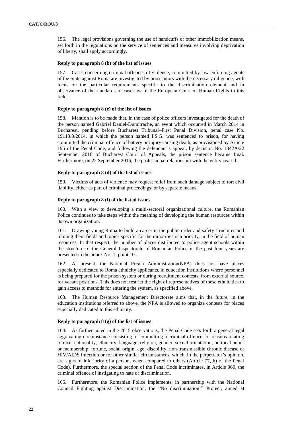156. The legal provisions governing the use of handcuffs or other immobilization means, set forth in the regulations on the service of sentences and measures involving deprivation of liberty, shall apply accordingly.

# **Reply to paragraph 8 (b) of the list of issues**

157. Cases concerning criminal offences of violence, committed by law-enforcing agents of the State against Roma are investigated by prosecutors with the necessary diligence, with focus on the particular requirements specific to the discrimination element and in observance of the standards of case-law of the European Court of Human Rights in this field.

# **Reply to paragraph 8 (c) of the list of issues**

158. Mention is to be made that, in the case of police officers investigated for the death of the person named Gabriel Daniel-Dumitrache, an event which occurred in March 2014 in Bucharest, pending before Bucharest Tribunal–First Penal Division, penal case No. 19113/3/2014, in which the person named I.S.G. was sentenced to prison, for having committed the criminal offence of battery or injury causing death, as provisioned by Article 195 of the Penal Code, and following the defendant's appeal, by decision No. 1342A/22 September 2016 of Bucharest Court of Appeals, the prison sentence became final. Furthermore, on 22 September 2016, the professional relationship with the entity ceased.

# **Reply to paragraph 8 (d) of the list of issues**

159. Victims of acts of violence may request relief from such damage subject to tort civil liability, either as part of criminal proceedings, or by separate means.

# **Reply to paragraph 8 (f) of the list of issues**

160. With a view to developing a multi-sectoral organizational culture, the Romanian Police continues to take steps within the meaning of developing the human resources within its own organization.

161. Drawing young Roma to build a career in the public order and safety structures and training them fields and topics specific for the minorities is a priority, in the field of human resources. In that respect, the number of places distributed to police agent schools within the structure of the General Inspectorate of Romanian Police in the past four years are presented in the annex No. 1, point 10.

162. At present, the National Prison Administration(NPA) does not have places especially dedicated to Roma ethnicity applicants, in education institutions where personnel is being prepared for the prison system or during recruitment contests, from external source, for vacant positions. This does not restrict the right of representatives of these ethnicities to gain access to methods for entering the system, as specified above.

163. The Human Resource Management Directorate aims that, in the future, in the education institutions referred to above, the NPA is allowed to organize contests for places especially dedicated to this ethnicity.

# **Reply to paragraph 8 (g) of the list of issues**

164. As further noted in the 2015 observations, the Penal Code sets forth a general legal aggravating circumstance consisting of committing a criminal offence for reasons relating to race, nationality, ethnicity, language, religion, gender, sexual orientation, political belief or membership, fortune, social origin, age, disability, non-transmissible chronic disease or HIV/AIDS infection or for other similar circumstances, which, in the perpetrator's opinion, are signs of inferiority of a person, when compared to others (Article 77, h) of the Penal Code). Furthermore, the special section of the Penal Code incriminates, in Article 369, the criminal offence of instigating to hate or discrimination.

165. Furthermore, the Romanian Police implements, in partnership with the National Council Fighting against Discrimination, the "No discrimination!" Project, aimed at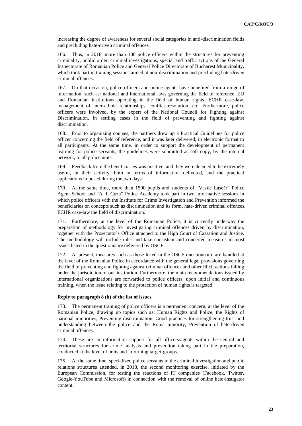increasing the degree of awareness for several social categories in anti-discrimination fields and precluding hate-driven criminal offences.

166. Thus, in 2018, more than 100 police officers within the structures for preventing criminality, public order, criminal investigations, special and traffic actions of the General Inspectorate of Romanian Police and General Police Directorate of Bucharest Municipality, which took part in training sessions aimed at non-discrimination and precluding hate-driven criminal offences.

167. On that occasion, police officers and police agents have benefited from a range of information, such as: national and international laws governing the field of reference, EU and Romanian institutions operating in the field of human rights, ECHR case-law, management of inter-ethnic relationships, conflict resolution, etc. Furthermore, police officers were involved, by the expert of the National Council for Fighting against Discrimination, in settling cases in the field of preventing and fighting against discrimination.

168. Prior to organizing courses, the partners drew up a Practical Guidelines for police officer concerning the field of reference, and it was later delivered, in electronic format to all participants. At the same time, in order to support the development of permanent learning for police servants, the guidelines were submitted as soft copy, by the internal network, to all police units.

169. Feedback from the beneficiaries was positive, and they were deemed to be extremely useful, in their activity, both in terms of information delivered, and the practical applications imposed during the two days.

170. At the same time, more than 1500 pupils and students of "Vasile Lascăr" Police Agent School and "A. I. Cuza" Police Academy took part in two informative sessions in which police officers with the Institute for Crime Investigation and Prevention informed the beneficiaries on concepts such as discrimination and its form, hate-driven criminal offences, ECHR case-law the field of discrimination.

Furthermore, at the level of the Romanian Police, it is currently underway the preparation of methodology for investigating criminal offences driven by discrimination, together with the Prosecutor's Office attached to the High Court of Cassation and Justice. The methodology will include rules and take consistent and concerted measures in most issues listed in the questionnaire delivered by OSCE.

172. At present, measures such as those listed in the OSCE questionnaire are handled at the level of the Romanian Police in accordance with the general legal provisions governing the field of preventing and fighting against criminal offences and other illicit actions falling under the jurisdiction of our institution. Furthermore, the main recommendations issued by international organizations are forwarded to police officers, upon initial and continuous training, when the issue relating to the protection of human rights is targeted.

# **Reply to paragraph 8 (h) of the list of issues**

173. The permanent training of police officers is a permanent concern, at the level of the Romanian Police, drawing up topics such as: Human Rights and Police, the Rights of national minorities, Preventing discrimination, Good practices for strengthening trust and understanding between the police and the Roma minority, Prevention of hate-driven criminal offences.

174. These are an information support for all officers/agents within the central and territorial structures for crime analysis and prevention taking part in the preparation, conducted at the level of units and informing target-groups.

175. At the same time, specialized police servants in the criminal investigation and public relations structures attended, in 2018, the second monitoring exercise, initiated by the European Commission, for testing the reactions of IT companies (Facebook, Twitter, Google-YouTube and Microsoft) in connection with the removal of online hate-instigator content.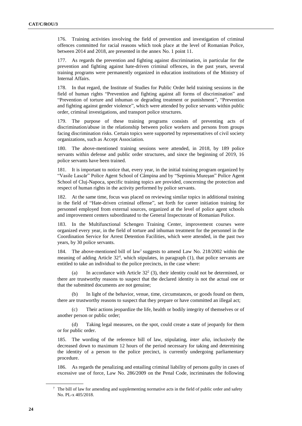176. Training activities involving the field of prevention and investigation of criminal offences committed for racial reasons which took place at the level of Romanian Police, between 2014 and 2018, are presented in the annex No. 1 point 11.

177. As regards the prevention and fighting against discrimination, in particular for the prevention and fighting against hate-driven criminal offences, in the past years, several training programs were permanently organized in education institutions of the Ministry of Internal Affairs.

178. In that regard, the Institute of Studies for Public Order held training sessions in the field of human rights "Prevention and fighting against all forms of discrimination" and "Prevention of torture and inhuman or degrading treatment or punishment", "Prevention and fighting against gender violence", which were attended by police servants within public order, criminal investigations, and transport police structures.

179. The purpose of these training programs consists of preventing acts of discrimination/abuse in the relationship between police workers and persons from groups facing discrimination risks. Certain topics were supported by representatives of civil society organizations, such as Accept Association.

180. The above-mentioned training sessions were attended, in 2018, by 189 police servants within defense and public order structures, and since the beginning of 2019, 16 police servants have been trained.

181. It is important to notice that, every year, in the initial training program organized by "Vasile Lascăr" Police Agent School of Câmpina and by "Septimiu Mureşan" Police Agent School of Cluj-Napoca, specific training topics are provided, concerning the protection and respect of human rights in the activity performed by police servants.

182. At the same time, focus was placed on reviewing similar topics in additional training in the field of "Hate-driven criminal offense", set forth for career initiation training for personnel employed from external sources, organized at the level of police agent schools and improvement centers subordinated to the General Inspectorate of Romanian Police.

183. In the Multifunctional Schengen Training Center, improvement courses were organized every year, in the field of torture and inhuman treatment for the personnel in the Coordination Service for Arrest Detention Facilities, which were attended, in the past two years, by 30 police servants.

184. The above-mentioned bill of law<sup>7</sup> suggests to amend Law No. 218/2002 within the meaning of adding Article  $32<sup>4</sup>$ , which stipulates, in paragraph (1), that police servants are entitled to take an individual to the police precincts, in the case where:

(a) In accordance with Article  $32<sup>2</sup>$  (3), their identity could not be determined, or there are trustworthy reasons to suspect that the declared identity is not the actual one or that the submitted documents are not genuine;

(b) In light of the behavior, venue, time, circumstances, or goods found on them, there are trustworthy reasons to suspect that they prepare or have committed an illegal act;

(c) Their actions jeopardize the life, health or bodily integrity of themselves or of another person or public order;

(d) Taking legal measures, on the spot, could create a state of jeopardy for them or for public order.

185. The wording of the reference bill of law, stipulating, *inter alia*, inclusively the decreased down to maximum 12 hours of the period necessary for taking and determining the identity of a person to the police precinct, is currently undergoing parliamentary procedure.

186. As regards the penalizing and entailing criminal liability of persons guilty in cases of excessive use of force, Law No. 286/2009 on the Penal Code, incriminates the following

<sup>7</sup> The bill of law for amending and supplementing normative acts in the field of public order and safety No. PL-x 405/2018.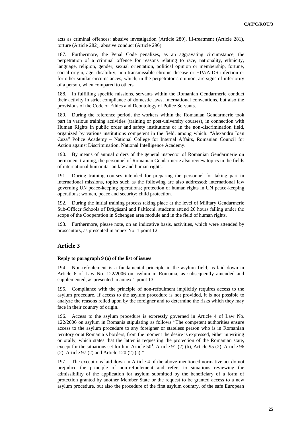acts as criminal offences: abusive investigation (Article 280), ill-treatment (Article 281), torture (Article 282), abusive conduct (Article 296).

187. Furthermore, the Penal Code penalizes, as an aggravating circumstance, the perpetration of a criminal offence for reasons relating to race, nationality, ethnicity, language, religion, gender, sexual orientation, political opinion or membership, fortune, social origin, age, disability, non-transmissible chronic disease or HIV/AIDS infection or for other similar circumstances, which, in the perpetrator's opinion, are signs of inferiority of a person, when compared to others.

188. In fulfilling specific missions, servants within the Romanian Gendarmerie conduct their activity in strict compliance of domestic laws, international conventions, but also the provisions of the Code of Ethics and Deontology of Police Servants.

189. During the reference period, the workers within the Romanian Gendarmerie took part in various training activities (training or post-university courses), in connection with Human Rights in public order and safety institutions or in the non-discrimination field, organized by various institutions competent in the field, among which: "Alexandru Ioan Cuza" Police Academy – National College for Internal Affairs, Romanian Council for Action against Discrimination, National Intelligence Academy.

190. By means of annual orders of the general inspector of Romanian Gendarmerie on permanent training, the personnel of Romanian Gendarmerie also review topics in the fields of international humanitarian law and human rights.

During training courses intended for preparing the personnel for taking part in international missions, topics such as the following are also addressed: international law governing UN peace-keeping operations; protection of human rights in UN peace-keeping operations; women, peace and security; child protection.

192. During the initial training process taking place at the level of Military Gendarmerie Sub-Officer Schools of Drăgășani and Fălticeni, students attend 20 hours falling under the scope of the Cooperation in Schengen area module and in the field of human rights.

193. Furthermore, please note, on an indicative basis, activities, which were attended by prosecutors, as presented in annex No. 1 point 12.

# **Article 3**

# **Reply to paragraph 9 (a) of the list of issues**

194. Non-refoulement is a fundamental principle in the asylum field, as laid down in Article 6 of Law No. 122/2006 on asylum in Romania, as subsequently amended and supplemented, as presented in annex 1 point 13.

195. Compliance with the principle of non-refoulment implicitly requires access to the asylum procedure. If access to the asylum procedure is not provided, it is not possible to analyze the reasons relied upon by the foreigner and to determine the risks which they may face in their country of origin.

196. Access to the asylum procedure is expressly governed in Article 4 of Law No. 122/2006 on asylum in Romania stipulating as follows "The competent authorities ensure access to the asylum procedure to any foreigner or stateless person who is in Romanian territory or at Romania's borders, from the moment the desire is expressed, either in writing or orally, which states that the latter is requesting the protection of the Romanian state, except for the situations set forth in Article  $50<sup>1</sup>$ , Article 91 (2) (b), Article 95 (2), Article 96 (2), Article 97 (2) and Article 120 (2) (a)."

197. The exceptions laid down in Article 4 of the above-mentioned normative act do not prejudice the principle of non-refoulement and refers to situations reviewing the admissibility of the application for asylum submitted by the beneficiary of a form of protection granted by another Member State or the request to be granted access to a new asylum procedure, but also the procedure of the first asylum country, of the safe European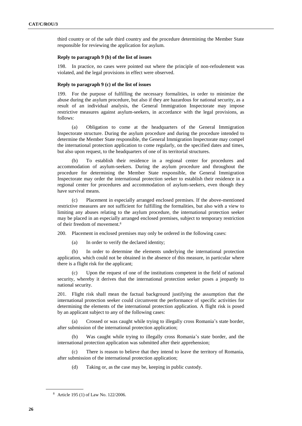third country or of the safe third country and the procedure determining the Member State responsible for reviewing the application for asylum.

# **Reply to paragraph 9 (b) of the list of issues**

198. In practice, no cases were pointed out where the principle of non-refoulement was violated, and the legal provisions in effect were observed.

### **Reply to paragraph 9 (c) of the list of issues**

199. For the purpose of fulfilling the necessary formalities, in order to minimize the abuse during the asylum procedure, but also if they are hazardous for national security, as a result of an individual analysis, the General Immigration Inspectorate may impose restrictive measures against asylum-seekers, in accordance with the legal provisions, as follows:

(a) Obligation to come at the headquarters of the General Immigration Inspectorate structure. During the asylum procedure and during the procedure intended to determine the Member State responsible, the General Immigration Inspectorate may compel the international protection application to come regularly, on the specified dates and times, but also upon request, to the headquarters of one of its territorial structures.

(b) To establish their residence in a regional center for procedures and accommodation of asylum-seekers. During the asylum procedure and throughout the procedure for determining the Member State responsible, the General Immigration Inspectorate may order the international protection seeker to establish their residence in a regional center for procedures and accommodation of asylum-seekers, even though they have survival means.

(c) Placement in especially arranged enclosed premises. If the above-mentioned restrictive measures are not sufficient for fulfilling the formalities, but also with a view to limiting any abuses relating to the asylum procedure, the international protection seeker may be placed in an especially arranged enclosed premises, subject to temporary restriction of their freedom of movement.<sup>8</sup>

200. Placement in enclosed premises may only be ordered in the following cases:

(a) In order to verify the declared identity;

(b) In order to determine the elements underlying the international protection application, which could not be obtained in the absence of this measure, in particular where there is a flight risk for the applicant;

(c) Upon the request of one of the institutions competent in the field of national security, whereby it derives that the international protection seeker poses a jeopardy to national security.

201. Flight risk shall mean the factual background justifying the assumption that the international protection seeker could circumvent the performance of specific activities for determining the elements of the international protection application. A flight risk is posed by an applicant subject to any of the following cases:

(a) Crossed or was caught while trying to illegally cross Romania's state border, after submission of the international protection application;

(b) Was caught while trying to illegally cross Romania's state border, and the international protection application was submitted after their apprehension;

(c) There is reason to believe that they intend to leave the territory of Romania, after submission of the international protection application;

(d) Taking or, as the case may be, keeping in public custody.

<sup>8</sup> Article 195 (1) of Law No. 122/2006.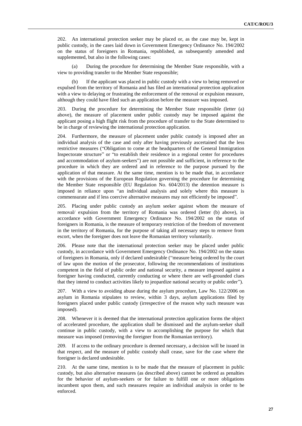202. An international protection seeker may be placed or, as the case may be, kept in public custody, in the cases laid down in Government Emergency Ordinance No. 194/2002 on the status of foreigners in Romania, republished, as subsequently amended and supplemented, but also in the following cases:

During the procedure for determining the Member State responsible, with a view to providing transfer to the Member State responsible;

(b) If the applicant was placed in public custody with a view to being removed or expulsed from the territory of Romania and has filed an international protection application with a view to delaying or frustrating the enforcement of the removal or expulsion measure, although they could have filed such an application before the measure was imposed.

203. During the procedure for determining the Member State responsible (letter (a) above), the measure of placement under public custody may be imposed against the applicant posing a high flight risk from the procedure of transfer to the State determined to be in charge of reviewing the international protection application.

204. Furthermore, the measure of placement under public custody is imposed after an individual analysis of the case and only after having previously ascertained that the less restrictive measures ("Obligation to come at the headquarters of the General Immigration Inspectorate structure" or "to establish their residence in a regional center for procedures and accommodation of asylum-seekers") are not possible and sufficient, in reference to the procedure in which they are ordered and in reference to the purpose pursued by the application of that measure. At the same time, mention is to be made that, in accordance with the provisions of the European Regulation governing the procedure for determining the Member State responsible (EU Regulation No. 604/2013) the detention measure is imposed in reliance upon "an individual analysis and solely where this measure is commensurate and if less coercive alternative measures may not efficiently be imposed".

205. Placing under public custody an asylum seeker against whom the measure of removal/ expulsion from the territory of Romania was ordered (letter (b) above), in accordance with Government Emergency Ordinance No. 194/2002 on the status of foreigners in Romania, is the measure of temporary restriction of the freedom of movement in the territory of Romania, for the purpose of taking all necessary steps to remove from escort, when the foreigner does not leave the Romanian territory voluntarily.

206. Please note that the international protection seeker may be placed under public custody, in accordance with Government Emergency Ordinance No. 194/2002 on the status of foreigners in Romania, only if declared undesirable ("measure being ordered by the court of law upon the motion of the prosecutor, following the recommendations of institutions competent in the field of public order and national security, a measure imposed against a foreigner having conducted, currently conducting or where there are well-grounded clues that they intend to conduct activities likely to jeopardize national security or public order").

207. With a view to avoiding abuse during the asylum procedure, Law No. 122/2006 on asylum in Romania stipulates to review, within 3 days, asylum applications filed by foreigners placed under public custody (irrespective of the reason why such measure was imposed).

208. Whenever it is deemed that the international protection application forms the object of accelerated procedure, the application shall be dismissed and the asylum-seeker shall continue in public custody, with a view to accomplishing the purpose for which that measure was imposed (removing the foreigner from the Romanian territory).

209. If access to the ordinary procedure is deemed necessary, a decision will be issued in that respect, and the measure of public custody shall cease, save for the case where the foreigner is declared undesirable.

210. At the same time, mention is to be made that the measure of placement in public custody, but also alternative measures (as described above) cannot be ordered as penalties for the behavior of asylum-seekers or for failure to fulfill one or more obligations incumbent upon them, and such measures require an individual analysis in order to be enforced.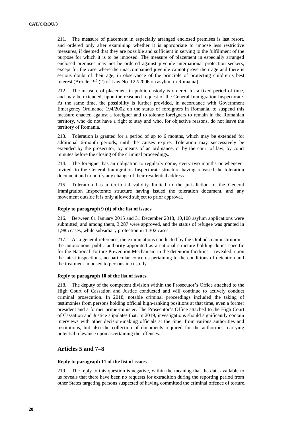211. The measure of placement in especially arranged enclosed premises is last resort, and ordered only after examining whether it is appropriate to impose less restrictive measures, if deemed that they are possible and sufficient in serving to the fulfillment of the purpose for which it is to be imposed. The measure of placement in especially arranged enclosed premises may not be ordered against juvenile international protection seekers, except for the case where the unaccompanied juvenile cannot prove their age and there is serious doubt of their age, in observance of the principle of protecting children's best interest (Article  $19<sup>5</sup>$  (2) of Law No. 122/2006 on asylum in Romania).

The measure of placement in public custody is ordered for a fixed period of time, and may be extended, upon the reasoned request of the General Immigration Inspectorate. At the same time, the possibility is further provided, in accordance with Government Emergency Ordinance 194/2002 on the status of foreigners in Romania, to suspend this measure enacted against a foreigner and to tolerate foreigners to remain in the Romanian territory, who do not have a right to stay and who, for objective reasons, do not leave the territory of Romania.

213. Toleration is granted for a period of up to 6 months, which may be extended for additional 6-month periods, until the causes expire. Toleration may successively be extended by the prosecutor, by means of an ordinance, or by the court of law, by court minutes before the closing of the criminal proceedings.

214. The foreigner has an obligation to regularly come, every two months or whenever invited, to the General Immigration Inspectorate structure having released the toleration document and to notify any change of their residential address.

215. Toleration has a territorial validity limited to the jurisdiction of the General Immigration Inspectorate structure having issued the toleration document, and any movement outside it is only allowed subject to prior approval.

# **Reply to paragraph 9 (d) of the list of issues**

216. Between 01 January 2015 and 31 December 2018, 10,108 asylum applications were submitted, and among them, 3,287 were approved, and the status of refugee was granted in 1,985 cases, while subsidiary protection in 1,302 cases.

217. As a general reference, the examinations conducted by the Ombudsman institution – the autonomous public authority appointed as a national structure holding duties specific for the National Torture Prevention Mechanism in the detention facilities – revealed, upon the latest inspections, no particular concerns pertaining to the conditions of detention and the treatment imposed to persons in custody.

# **Reply to paragraph 10 of the list of issues**

218. The deputy of the competent division within the Prosecutor's Office attached to the High Court of Cassation and Justice conducted and will continue to actively conduct criminal prosecution. In 2018, notable criminal proceedings included the taking of testimonies from persons holding official high-ranking positions at that time, even a former president and a former prime-minister. The Prosecutor's Office attached to the High Court of Cassation and Justice stipulates that, in 2019, investigations should significantly contain interviews with other decision-making officials at the time, from various authorities and institutions, but also the collection of documents required for the authorities, carrying potential relevance upon ascertaining the offences.

# **Articles 5 and 7–8**

# **Reply to paragraph 11 of the list of issues**

219. The reply to this question is negative, within the meaning that the data available to us reveals that there have been no requests for extradition during the reporting period from other States targeting persons suspected of having committed the criminal offence of torture.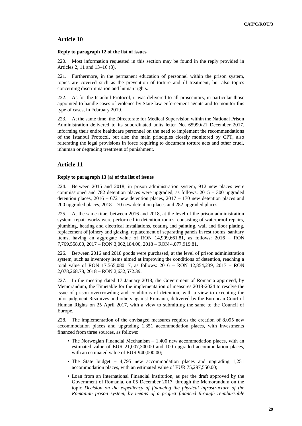# **Article 10**

# **Reply to paragraph 12 of the list of issues**

220. Most information requested in this section may be found in the reply provided in Articles 2, 11 and 13–16 (8).

221. Furthermore, in the permanent education of personnel within the prison system, topics are covered such as the prevention of torture and ill treatment, but also topics concerning discrimination and human rights.

222. As for the Istanbul Protocol, it was delivered to all prosecutors, in particular those appointed to handle cases of violence by State law-enforcement agents and to monitor this type of cases, in February 2019.

223. At the same time, the Directorate for Medical Supervision within the National Prison Administration delivered to its subordinated units letter No. 65990/21 December 2017, informing their entire healthcare personnel on the need to implement the recommendations of the Istanbul Protocol, but also the main principles closely monitored by CPT, also reiterating the legal provisions in force requiring to document torture acts and other cruel, inhuman or degrading treatment of punishment.

# **Article 11**

#### **Reply to paragraph 13 (a) of the list of issues**

224. Between 2015 and 2018, in prison administration system, 912 new places were commissioned and 782 detention places were upgraded, as follows: 2015 – 300 upgraded detention places,  $2016 - 672$  new detention places,  $2017 - 170$  new detention places and 200 upgraded places, 2018 – 70 new detention places and 282 upgraded places.

225. At the same time, between 2016 and 2018, at the level of the prison administration system, repair works were performed in detention rooms, consisting of waterproof repairs, plumbing, heating and electrical installations, coating and painting, wall and floor plating, replacement of joinery and glazing, replacement of separating panels in rest rooms, sanitary items, having an aggregate value of RON 14,909,661.81, as follows: 2016 – RON 7,769,558.00, 2017 – RON 3,062,184.00, 2018 – RON 4,077,919.81.

226. Between 2016 and 2018 goods were purchased, at the level of prison administration system, such as inventory items aimed at improving the conditions of detention, reaching a total value of RON 17,565,080.17, as follows: 2016 – RON 12,854,239, 2017 – RON 2,078,268.78, 2018 – RON 2,632,572.39.

227. In the meeting dated 17 January 2018, the Government of Romania approved, by Memorandum, the Timetable for the implementation of measures 2018-2024 to resolve the issue of prison overcrowding and conditions of detention, with a view to executing the pilot-judgment Rezmives and others against Romania, delivered by the European Court of Human Rights on 25 April 2017, with a view to submitting the same to the Council of Europe.

228. The implementation of the envisaged measures requires the creation of 8,095 new accommodation places and upgrading 1,351 accommodation places, with investments financed from three sources, as follows:

- The Norwegian Financial Mechanism 1,400 new accommodation places, with an estimated value of EUR 21,007,300.00 and 100 upgraded accommodation places, with an estimated value of EUR 940,000.00;
- The State budget 4,795 new accommodation places and upgrading 1,251 accommodation places, with an estimated value of EUR 75,297,550.00;
- Loan from an International Financial Institution, as per the draft approved by the Government of Romania, on 05 December 2017, through the Memorandum on the topic *Decision on the expediency of financing the physical infrastructure of the Romanian prison system, by means of a project financed through reimbursable*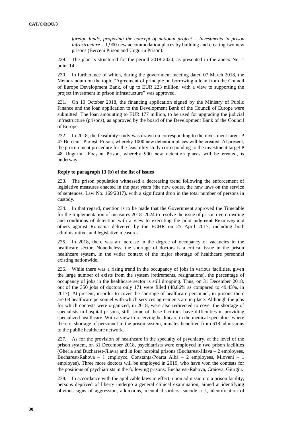*foreign funds, proposing the concept of national project – Investments in prison infrastructure* – 1,900 new accommodation places by building and creating two new prisons (Berceni Prison and Unguriu Prison).

229. The plan is structured for the period 2018-2024, as presented in the annex No. 1 point 14.

230. In furtherance of which, during the government meeting dated 07 March 2018, the Memorandum on the topic "Agreement of principle on borrowing a loan from the Council of Europe Development Bank, of up to EUR 223 million, with a view to supporting the project Investment in prison infrastructure" was approved.

231. On 10 October 2018, the financing application signed by the Ministry of Public Finance and the loan application to the Development Bank of the Council of Europe were submitted. The loan amounting to EUR 177 million, to be used for upgrading the judicial infrastructure (prisons), as approved by the board of the Development Bank of the Council of Europe.

232. In 2018, the feasibility study was drawn up corresponding to the investment target P 47 Berceni –Ploiești Prison, whereby 1000 new detention places will be created. At present, the procurement procedure for the feasibility study corresponding to the investment target P 48 Unguriu –Focșani Prison, whereby 900 new detention places will be created, is underway.

# **Reply to paragraph 13 (b) of the list of issues**

233. The prison population witnessed a decreasing trend following the enforcement of legislative measures enacted in the past years (the new codes, the new laws on the service of sentences, Law No. 169/2017), with a significant drop in the total number of persons in custody.

234. In that regard, mention is to be made that the Government approved the Timetable for the Implementation of measures 2018–2024 to resolve the issue of prison overcrowding and conditions of detention with a view to executing the pilot-judgment Rezmiveș and others against Romania delivered by the ECHR on 25 April 2017, including both administrative, and legislative measures.

235. In 2018, there was an increase in the degree of occupancy of vacancies in the healthcare sector. Nonetheless, the shortage of doctors is a critical issue in the prison healthcare system, in the wider context of the major shortage of healthcare personnel existing nationwide.

236. While there was a rising trend in the occupancy of jobs in various facilities, given the large number of exists from the system (retirements, resignations), the percentage of occupancy of jobs in the healthcare sector is still dropping. Thus, on 31 December 2018, out of the 350 jobs of doctors only 171 were filled (48.86% as compared to 49.43%, in 2017). At present, in order to cover the shortage of healthcare personnel, in prisons there are 68 healthcare personnel with which services agreements are in place. Although the jobs for which contests were organized, in 2018, were also redirected to cover the shortage of specialists in hospital prisons, still, some of these facilities have difficulties in providing specialized healthcare. With a view to receiving healthcare in the medical specialties where there is shortage of personnel in the prison system, inmates benefited from 618 admissions to the public healthcare network.

237. As for the provision of healthcare in the specialty of psychiatry, at the level of the prison system, on 31 December 2018, psychiatrists were employed in two prison facilities (Gherla and Bucharest-Jilava) and in four hospital prisons (Bucharest-Jilava – 2 employees, Bucharest-Rahova – 1 employee, Constanța-Poarta Albă – 2 employees, Mioveni – 1 employee). Three more doctors will be employed in 2019, who have won the contests for the positions of psychiatrists in the following prisons: Bucharest-Rahova, Craiova, Giurgiu.

238. In accordance with the applicable laws in effect, upon admission to a prison facility, persons deprived of liberty undergo a general clinical examination, aimed at identifying obvious signs of aggression, addictions, mental disorders, suicide risk, identification of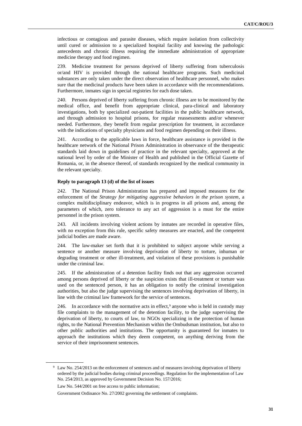infectious or contagious and parasite diseases, which require isolation from collectivity until cured or admission to a specialized hospital facility and knowing the pathologic antecedents and chronic illness requiring the immediate administration of appropriate medicine therapy and food regimen.

239. Medicine treatment for persons deprived of liberty suffering from tuberculosis or/and HIV is provided through the national healthcare programs. Such medicinal substances are only taken under the direct observation of healthcare personnel, who makes sure that the medicinal products have been taken in accordance with the recommendations. Furthermore, inmates sign in special registries for each dose taken.

240. Persons deprived of liberty suffering from chronic illness are to be monitored by the medical office, and benefit from appropriate clinical, para-clinical and laboratory investigations, both by specialized out-patient facilities in the public healthcare network, and through admission to hospital prisons, for regular reassessments and/or whenever needed. Furthermore, they benefit from regular prescription for treatment, in accordance with the indications of specialty physicians and food regimen depending on their illness.

241. According to the applicable laws in force, healthcare assistance is provided in the healthcare network of the National Prison Administration in observance of the therapeutic standards laid down in guidelines of practice in the relevant specialty, approved at the national level by order of the Minister of Health and published in the Official Gazette of Romania, or, in the absence thereof, of standards recognized by the medical community in the relevant specialty.

# **Reply to paragraph 13 (d) of the list of issues**

242. The National Prison Administration has prepared and imposed measures for the enforcement of the *Strategy for mitigating aggressive behaviors in the prison system*, a complex multidisciplinary endeavor, which is in progress in all prisons and, among the parameters of which, zero tolerance to any act of aggression is a must for the entire personnel in the prison system.

243. All incidents involving violent actions by inmates are recorded in operative files, with no exception from this rule, specific safety measures are enacted, and the competent judicial bodies are made aware.

244. The law-maker set forth that it is prohibited to subject anyone while serving a sentence or another measure involving deprivation of liberty to torture, inhuman or degrading treatment or other ill-treatment, and violation of these provisions is punishable under the criminal law.

245. If the administration of a detention facility finds out that any aggression occurred among persons deprived of liberty or the suspicion exists that ill-treatment or torture was used on the sentenced person, it has an obligation to notify the criminal investigation authorities, but also the judge supervising the sentences involving deprivation of liberty, in line with the criminal law framework for the service of sentences.

246. In accordance with the normative acts in effect, $9$  anyone who is held in custody may file complaints to the management of the detention facility, to the judge supervising the deprivation of liberty, to courts of law, to NGOs specializing in the protection of human rights, to the National Prevention Mechanism within the Ombudsman institution, but also to other public authorities and institutions. The opportunity is guaranteed for inmates to approach the institutions which they deem competent, on anything deriving from the service of their imprisonment sentences.

<sup>9</sup> Law No. 254/2013 on the enforcement of sentences and of measures involving deprivation of liberty ordered by the judicial bodies during criminal proceedings. Regulation for the implementation of Law No. 254/2013, as approved by Government Decision No. 157/2016;

Law No. 544/2001 on free access to public information;

Government Ordinance No. 27/2002 governing the settlement of complaints.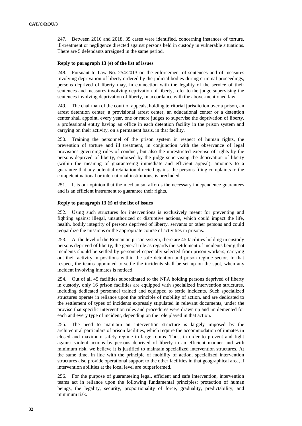247. Between 2016 and 2018, 35 cases were identified, concerning instances of torture, ill-treatment or negligence directed against persons held in custody in vulnerable situations. There are 5 defendants arraigned in the same period.

### **Reply to paragraph 13 (e) of the list of issues**

248. Pursuant to Law No. 254/2013 on the enforcement of sentences and of measures involving deprivation of liberty ordered by the judicial bodies during criminal proceedings, persons deprived of liberty may, in connection with the legality of the service of their sentences and measures involving deprivation of liberty, refer to the judge supervising the sentences involving deprivation of liberty, in accordance with the above-mentioned law.

249. The chairman of the court of appeals, holding territorial jurisdiction over a prison, an arrest detention center, a provisional arrest center, an educational center or a detention center shall appoint, every year, one or more judges to supervise the deprivation of liberty, a professional entity having an office in each detention facility in the prison system and carrying on their activity, on a permanent basis, in that facility.

250. Training the personnel of the prison system in respect of human rights, the prevention of torture and ill treatment, in conjunction with the observance of legal provisions governing rules of conduct, but also the unrestricted exercise of rights by the persons deprived of liberty, endorsed by the judge supervising the deprivation of liberty (within the meaning of guaranteeing immediate and efficient appeal), amounts to a guarantee that any potential retaliation directed against the persons filing complaints to the competent national or international institutions, is precluded.

251. It is our opinion that the mechanism affords the necessary independence guarantees and is an efficient instrument to guarantee their rights.

### **Reply to paragraph 13 (f) of the list of issues**

252. Using such structures for interventions is exclusively meant for preventing and fighting against illegal, unauthorized or disruptive actions, which could impact the life, health, bodily integrity of persons deprived of liberty, servants or other persons and could jeopardize the missions or the appropriate course of activities in prisons.

253. At the level of the Romanian prison system, there are 45 facilities holding in custody persons deprived of liberty, the general rule as regards the settlement of incidents being that incidents should be settled by personnel especially selected from prison workers, carrying out their activity in positions within the safe detention and prison regime sector. In that respect, the teams appointed to settle the incidents shall be set up on the spot, when any incident involving inmates is noticed.

254. Out of all 45 facilities subordinated to the NPA holding persons deprived of liberty in custody, only 16 prison facilities are equipped with specialized intervention structures, including dedicated personnel trained and equipped to settle incidents. Such specialized structures operate in reliance upon the principle of mobility of action, and are dedicated to the settlement of types of incidents expressly stipulated in relevant documents, under the proviso that specific intervention rules and procedures were drawn up and implemented for each and every type of incident, depending on the role played in that action.

255. The need to maintain an intervention structure is largely imposed by the architectural particulars of prison facilities, which require the accommodation of inmates in closed and maximum safety regime in large rooms. Thus, in order to prevent and fight against violent actions by persons deprived of liberty in an efficient manner and with minimum risk, we believe it is justified to maintain specialized intervention structures. At the same time, in line with the principle of mobility of action, specialized intervention structures also provide operational support to the other facilities in that geographical area, if intervention abilities at the local level are outperformed.

256. For the purpose of guaranteeing legal, efficient and safe intervention, intervention teams act in reliance upon the following fundamental principles: protection of human beings, the legality, security, proportionality of force, graduality, predictability, and minimum risk.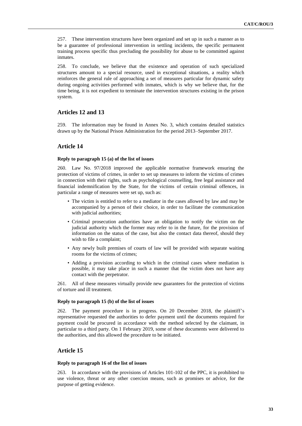257. These intervention structures have been organized and set up in such a manner as to be a guarantee of professional intervention in settling incidents, the specific permanent training process specific thus precluding the possibility for abuse to be committed against inmates.

258. To conclude, we believe that the existence and operation of such specialized structures amount to a special resource, used in exceptional situations, a reality which reinforces the general rule of approaching a set of measures particular for dynamic safety during ongoing activities performed with inmates, which is why we believe that, for the time being, it is not expedient to terminate the intervention structures existing in the prison system.

# **Articles 12 and 13**

259. The information may be found in Annex No. 3, which contains detailed statistics drawn up by the National Prison Administration for the period 2013–September 2017.

# **Article 14**

# **Reply to paragraph 15 (a) of the list of issues**

260. Law No. 97/2018 improved the applicable normative framework ensuring the protection of victims of crimes, in order to set up measures to inform the victims of crimes in connection with their rights, such as psychological counselling, free legal assistance and financial indemnification by the State, for the victims of certain criminal offences, in particular a range of measures were set up, such as:

- The victim is entitled to refer to a mediator in the cases allowed by law and may be accompanied by a person of their choice, in order to facilitate the communication with judicial authorities;
- Criminal prosecution authorities have an obligation to notify the victim on the judicial authority which the former may refer to in the future, for the provision of information on the status of the case, but also the contact data thereof, should they wish to file a complaint;
- Any newly built premises of courts of law will be provided with separate waiting rooms for the victims of crimes;
- Adding a provision according to which in the criminal cases where mediation is possible, it may take place in such a manner that the victim does not have any contact with the perpetrator.

261. All of these measures virtually provide new guarantees for the protection of victims of torture and ill treatment.

# **Reply to paragraph 15 (b) of the list of issues**

262. The payment procedure is in progress. On 20 December 2018, the plaintiff's representative requested the authorities to defer payment until the documents required for payment could be procured in accordance with the method selected by the claimant, in particular to a third party. On 1 February 2019, some of these documents were delivered to the authorities, and this allowed the procedure to be initiated.

# **Article 15**

# **Reply to paragraph 16 of the list of issues**

263. In accordance with the provisions of Articles 101-102 of the PPC, it is prohibited to use violence, threat or any other coercion means, such as promises or advice, for the purpose of getting evidence.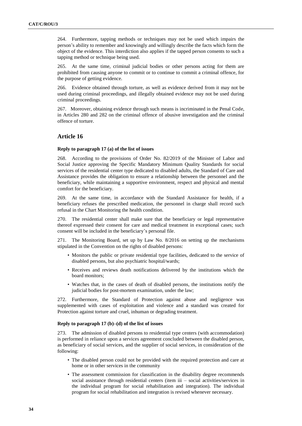264. Furthermore, tapping methods or techniques may not be used which impairs the person's ability to remember and knowingly and willingly describe the facts which form the object of the evidence. This interdiction also applies if the tapped person consents to such a tapping method or technique being used.

265. At the same time, criminal judicial bodies or other persons acting for them are prohibited from causing anyone to commit or to continue to commit a criminal offence, for the purpose of getting evidence.

266. Evidence obtained through torture, as well as evidence derived from it may not be used during criminal proceedings, and illegally obtained evidence may not be used during criminal proceedings.

267. Moreover, obtaining evidence through such means is incriminated in the Penal Code, in Articles 280 and 282 on the criminal offence of abusive investigation and the criminal offence of torture.

# **Article 16**

### **Reply to paragraph 17 (a) of the list of issues**

268. According to the provisions of Order No. 82/2019 of the Minister of Labor and Social Justice approving the Specific Mandatory Minimum Quality Standards for social services of the residential center type dedicated to disabled adults, the Standard of Care and Assistance provides the obligation to ensure a relationship between the personnel and the beneficiary, while maintaining a supportive environment, respect and physical and mental comfort for the beneficiary.

269. At the same time, in accordance with the Standard Assistance for health, if a beneficiary refuses the prescribed medication, the personnel in charge shall record such refusal in the Chart Monitoring the health condition.

270. The residential center shall make sure that the beneficiary or legal representative thereof expressed their consent for care and medical treatment in exceptional cases; such consent will be included in the beneficiary's personal file.

271. The Monitoring Board, set up by Law No. 8/2016 on setting up the mechanisms stipulated in the Convention on the rights of disabled persons:

- Monitors the public or private residential type facilities, dedicated to the service of disabled persons, but also psychiatric hospital/wards;
- Receives and reviews death notifications delivered by the institutions which the board monitors;
- Watches that, in the cases of death of disabled persons, the institutions notify the judicial bodies for post-mortem examination, under the law;

272. Furthermore, the Standard of Protection against abuse and negligence was supplemented with cases of exploitation and violence and a standard was created for Protection against torture and cruel, inhuman or degrading treatment.

# **Reply to paragraph 17 (b)–(d) of the list of issues**

273. The admission of disabled persons to residential type centers (with accommodation) is performed in reliance upon a services agreement concluded between the disabled person, as beneficiary of social services, and the supplier of social services, in consideration of the following:

- The disabled person could not be provided with the required protection and care at home or in other services in the community
- The assessment commission for classification in the disability degree recommends social assistance through residential centers (item iii – social activities/services in the individual program for social rehabilitation and integration). The individual program for social rehabilitation and integration is revised whenever necessary.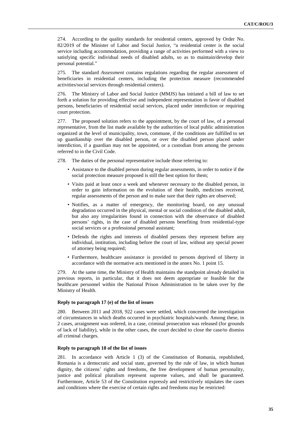274. According to the quality standards for residential centers, approved by Order No. 82/2019 of the Minister of Labor and Social Justice, "a residential center is the social service including accommodation, providing a range of activities performed with a view to satisfying specific individual needs of disabled adults, so as to maintain/develop their personal potential."

275. The standard *Assessment* contains regulations regarding the regular assessment of beneficiaries in residential centers, including the protection measure (recommended activities/social services through residential centers).

276. The Ministry of Labor and Social Justice (MMJS) has initiated a bill of law to set forth a solution for providing effective and independent representation in favor of disabled persons, beneficiaries of residential social services, placed under interdiction or requiring court protection.

277. The proposed solution refers to the appointment, by the court of law, of a personal representative, from the list made available by the authorities of local public administration organized at the level of municipality, town, commune, if the conditions are fulfilled to set up guardianship over the disabled person, or over the disabled person placed under interdiction, if a guardian may not be appointed, or a custodian from among the persons referred to in the Civil Code.

278. The duties of the personal representative include those referring to:

- Assistance to the disabled person during regular assessments, in order to notice if the social protection measure proposed is still the best option for them;
- Visits paid at least once a week and whenever necessary to the disabled person, in order to gain information on the evolution of their health, medicines received, regular assessments of the person and to make sure that their rights are observed;
- Notifies, as a matter of emergency, the monitoring board, on any unusual degradation occurred in the physical, mental or social condition of the disabled adult, but also any irregularities found in connection with the observance of disabled persons' rights, in the case of disabled persons benefiting from residential-type social services or a professional personal assistant;
- Defends the rights and interests of disabled persons they represent before any individual, institution, including before the court of law, without any special power of attorney being required;
- Furthermore, healthcare assistance is provided to persons deprived of liberty in accordance with the normative acts mentioned in the annex No. 1 point 15.

279. At the same time, the Ministry of Health maintains the standpoint already detailed in previous reports, in particular, that it does not deem appropriate or feasible for the healthcare personnel within the National Prison Administration to be taken over by the Ministry of Health.

# **Reply to paragraph 17 (e) of the list of issues**

280. Between 2011 and 2018, 922 cases were settled, which concerned the investigation of circumstances in which deaths occurred in psychiatric hospitals/wards. Among these, in 2 cases, arraignment was ordered, in a case, criminal prosecution was released (for grounds of lack of liability), while in the other cases, the court decided to close the case/to dismiss all criminal charges.

### **Reply to paragraph 18 of the list of issues**

281. In accordance with Article 1 (3) of the Constitution of Romania, republished, Romania is a democratic and social state, governed by the rule of law, in which human dignity, the citizens' rights and freedoms, the free development of human personality, justice and political pluralism represent supreme values, and shall be guaranteed. Furthermore, Article 53 of the Constitution expressly and restrictively stipulates the cases and conditions where the exercise of certain rights and freedoms may be restricted: